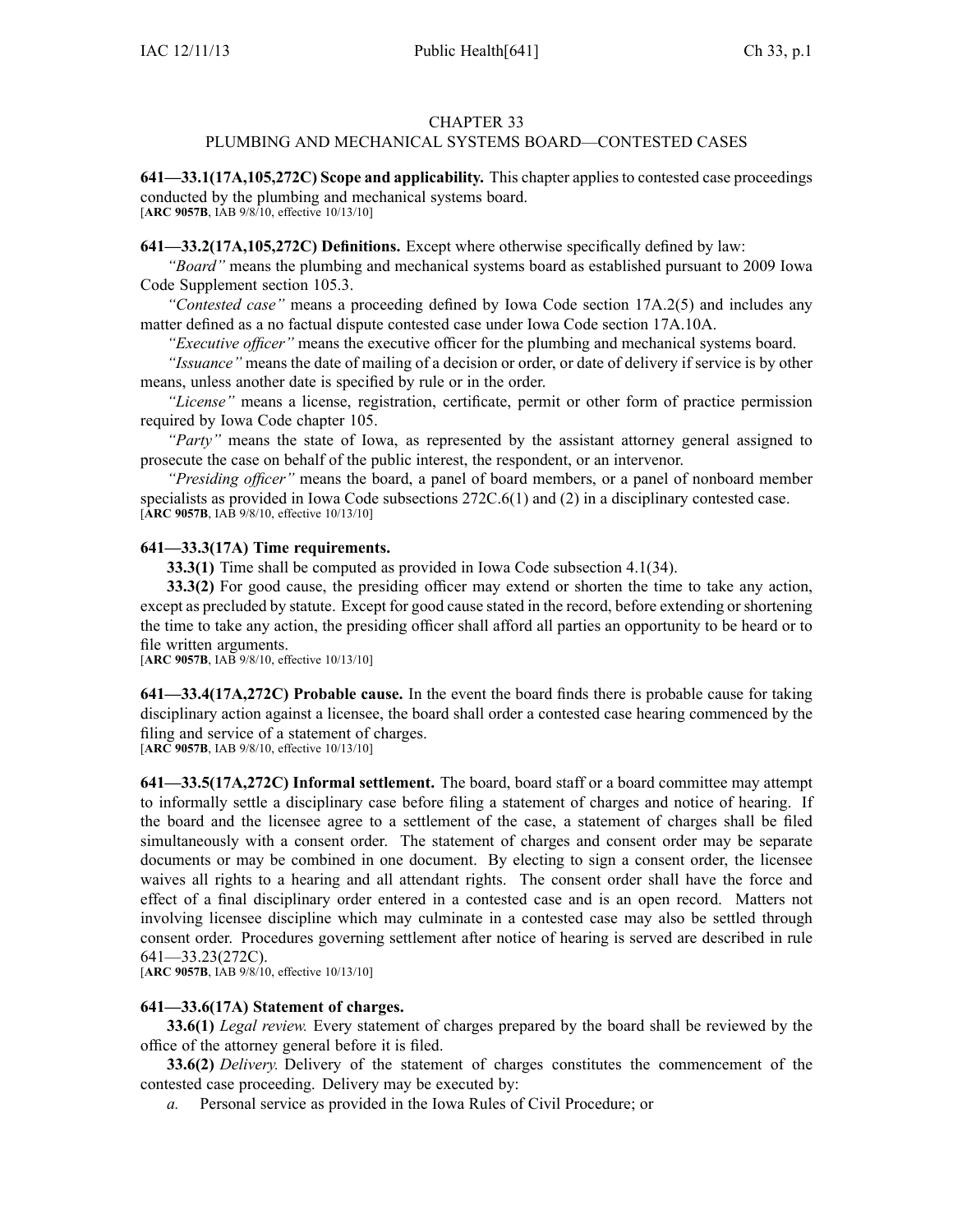### CHAPTER 33

## PLUMBING AND MECHANICAL SYSTEMS BOARD—CONTESTED CASES

**641—33.1(17A,105,272C) Scope and applicability.** This chapter applies to contested case proceedings conducted by the plumbing and mechanical systems board. [**ARC 9057B**, IAB 9/8/10, effective 10/13/10]

#### **641—33.2(17A,105,272C) Definitions.** Except where otherwise specifically defined by law:

*"Board"* means the plumbing and mechanical systems board as established pursuan<sup>t</sup> to 2009 Iowa Code Supplement section 105.3.

*"Contested case"* means <sup>a</sup> proceeding defined by Iowa Code section 17A.2(5) and includes any matter defined as <sup>a</sup> no factual dispute contested case under Iowa Code section 17A.10A.

*"Executive officer"* means the executive officer for the plumbing and mechanical systems board.

*"Issuance"* means the date of mailing of <sup>a</sup> decision or order, or date of delivery if service is by other means, unless another date is specified by rule or in the order.

*"License"* means <sup>a</sup> license, registration, certificate, permit or other form of practice permission required by Iowa Code chapter 105.

*"Party"* means the state of Iowa, as represented by the assistant attorney general assigned to prosecute the case on behalf of the public interest, the respondent, or an intervenor.

*"Presiding officer"* means the board, <sup>a</sup> panel of board members, or <sup>a</sup> panel of nonboard member specialists as provided in Iowa Code subsections 272C.6(1) and (2) in <sup>a</sup> disciplinary contested case. [**ARC 9057B**, IAB 9/8/10, effective 10/13/10]

#### **641—33.3(17A) Time requirements.**

**33.3(1)** Time shall be computed as provided in Iowa Code subsection 4.1(34).

**33.3(2)** For good cause, the presiding officer may extend or shorten the time to take any action, excep<sup>t</sup> as precluded by statute. Except for good cause stated in the record, before extending orshortening the time to take any action, the presiding officer shall afford all parties an opportunity to be heard or to file written arguments.

[**ARC 9057B**, IAB 9/8/10, effective 10/13/10]

**641—33.4(17A,272C) Probable cause.** In the event the board finds there is probable cause for taking disciplinary action against <sup>a</sup> licensee, the board shall order <sup>a</sup> contested case hearing commenced by the filing and service of <sup>a</sup> statement of charges.

[**ARC 9057B**, IAB 9/8/10, effective 10/13/10]

**641—33.5(17A,272C) Informal settlement.** The board, board staff or <sup>a</sup> board committee may attempt to informally settle <sup>a</sup> disciplinary case before filing <sup>a</sup> statement of charges and notice of hearing. If the board and the licensee agree to <sup>a</sup> settlement of the case, <sup>a</sup> statement of charges shall be filed simultaneously with <sup>a</sup> consent order. The statement of charges and consent order may be separate documents or may be combined in one document. By electing to sign <sup>a</sup> consent order, the licensee waives all rights to <sup>a</sup> hearing and all attendant rights. The consent order shall have the force and effect of <sup>a</sup> final disciplinary order entered in <sup>a</sup> contested case and is an open record. Matters not involving licensee discipline which may culminate in <sup>a</sup> contested case may also be settled through consent order. Procedures governing settlement after notice of hearing is served are described in rule 641—33.23(272C).

[**ARC 9057B**, IAB 9/8/10, effective 10/13/10]

### **641—33.6(17A) Statement of charges.**

**33.6(1)** *Legal review.* Every statement of charges prepared by the board shall be reviewed by the office of the attorney general before it is filed.

**33.6(2)** *Delivery.* Delivery of the statement of charges constitutes the commencement of the contested case proceeding. Delivery may be executed by:

*a.* Personal service as provided in the Iowa Rules of Civil Procedure; or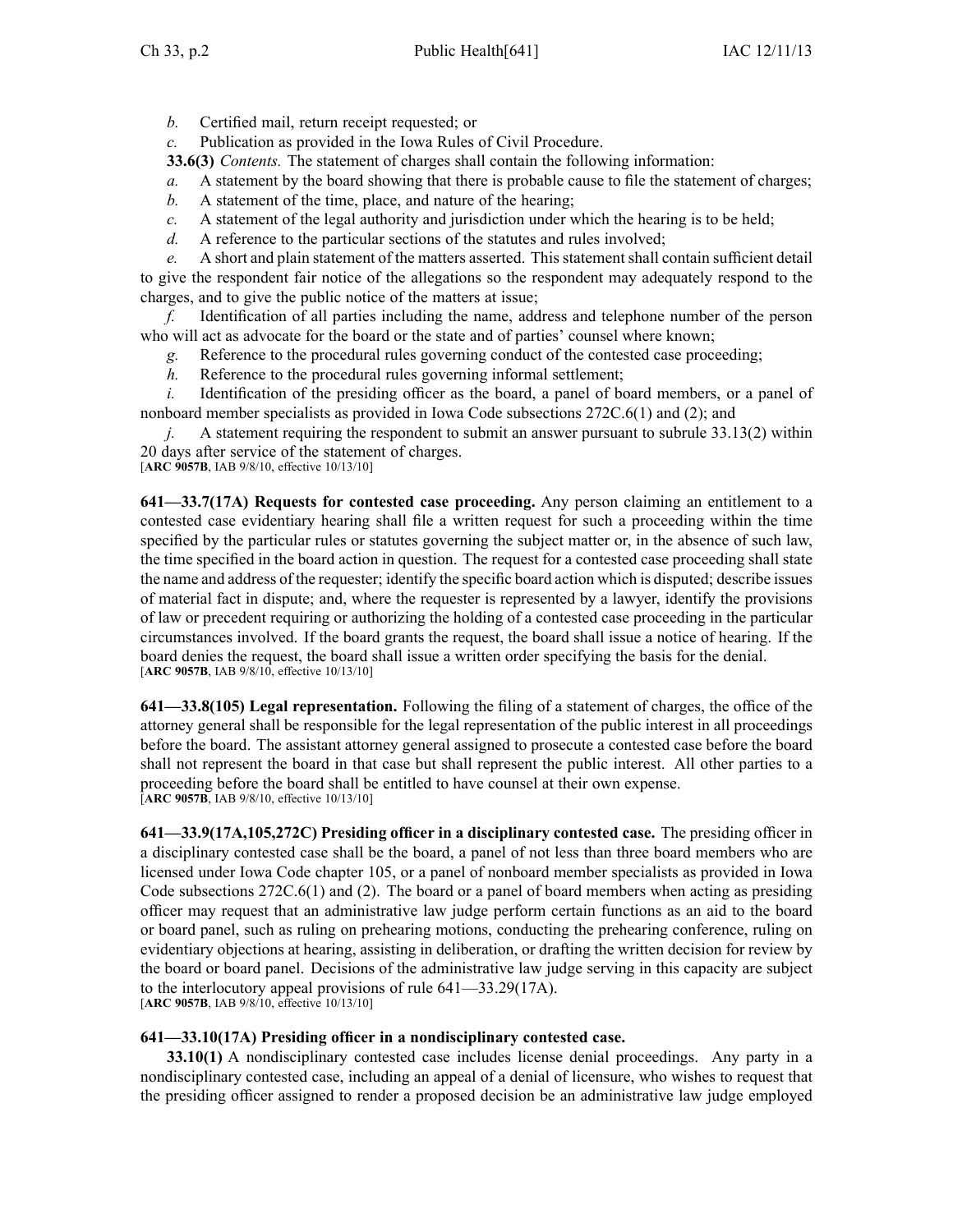*b.* Certified mail, return receipt requested; or

*c.* Publication as provided in the Iowa Rules of Civil Procedure.

**33.6(3)** *Contents.* The statement of charges shall contain the following information:

*a.* A statement by the board showing that there is probable cause to file the statement of charges;

*b.* A statement of the time, place, and nature of the hearing;

*c.* A statement of the legal authority and jurisdiction under which the hearing is to be held;

*d.* A reference to the particular sections of the statutes and rules involved;

*e.* A short and plain statement of the matters asserted. This statement shall contain sufficient detail to give the respondent fair notice of the allegations so the respondent may adequately respond to the charges, and to give the public notice of the matters at issue;

*f.* Identification of all parties including the name, address and telephone number of the person who will act as advocate for the board or the state and of parties' counsel where known;

*g.* Reference to the procedural rules governing conduct of the contested case proceeding;

*h.* Reference to the procedural rules governing informal settlement;

*i.* Identification of the presiding officer as the board, a panel of board members, or a panel of nonboard member specialists as provided in Iowa Code subsections 272C.6(1) and (2); and

*j.* A statement requiring the respondent to submit an answer pursuant to subrule 33.13(2) within 20 days after service of the statement of charges.

[**ARC 9057B**, IAB 9/8/10, effective 10/13/10]

**641—33.7(17A) Requests for contested case proceeding.** Any person claiming an entitlement to <sup>a</sup> contested case evidentiary hearing shall file <sup>a</sup> written reques<sup>t</sup> for such <sup>a</sup> proceeding within the time specified by the particular rules or statutes governing the subject matter or, in the absence of such law, the time specified in the board action in question. The reques<sup>t</sup> for <sup>a</sup> contested case proceeding shall state the name and address of the requester; identify the specific board action which is disputed; describe issues of material fact in dispute; and, where the requester is represented by <sup>a</sup> lawyer, identify the provisions of law or precedent requiring or authorizing the holding of <sup>a</sup> contested case proceeding in the particular circumstances involved. If the board grants the request, the board shall issue <sup>a</sup> notice of hearing. If the board denies the request, the board shall issue <sup>a</sup> written order specifying the basis for the denial. [**ARC 9057B**, IAB 9/8/10, effective 10/13/10]

**641—33.8(105) Legal representation.** Following the filing of <sup>a</sup> statement of charges, the office of the attorney general shall be responsible for the legal representation of the public interest in all proceedings before the board. The assistant attorney general assigned to prosecute <sup>a</sup> contested case before the board shall not represen<sup>t</sup> the board in that case but shall represen<sup>t</sup> the public interest. All other parties to <sup>a</sup> proceeding before the board shall be entitled to have counsel at their own expense. [**ARC 9057B**, IAB 9/8/10, effective 10/13/10]

**641—33.9(17A,105,272C) Presiding officer in <sup>a</sup> disciplinary contested case.** The presiding officer in <sup>a</sup> disciplinary contested case shall be the board, <sup>a</sup> panel of not less than three board members who are licensed under Iowa Code chapter 105, or <sup>a</sup> panel of nonboard member specialists as provided in Iowa Code subsections 272C.6(1) and (2). The board or <sup>a</sup> panel of board members when acting as presiding officer may reques<sup>t</sup> that an administrative law judge perform certain functions as an aid to the board or board panel, such as ruling on prehearing motions, conducting the prehearing conference, ruling on evidentiary objections at hearing, assisting in deliberation, or drafting the written decision for review by the board or board panel. Decisions of the administrative law judge serving in this capacity are subject to the interlocutory appeal provisions of rule 641—33.29(17A). [**ARC 9057B**, IAB 9/8/10, effective 10/13/10]

# **641—33.10(17A) Presiding officer in <sup>a</sup> nondisciplinary contested case.**

**33.10(1)** A nondisciplinary contested case includes license denial proceedings. Any party in <sup>a</sup> nondisciplinary contested case, including an appeal of <sup>a</sup> denial of licensure, who wishes to reques<sup>t</sup> that the presiding officer assigned to render <sup>a</sup> proposed decision be an administrative law judge employed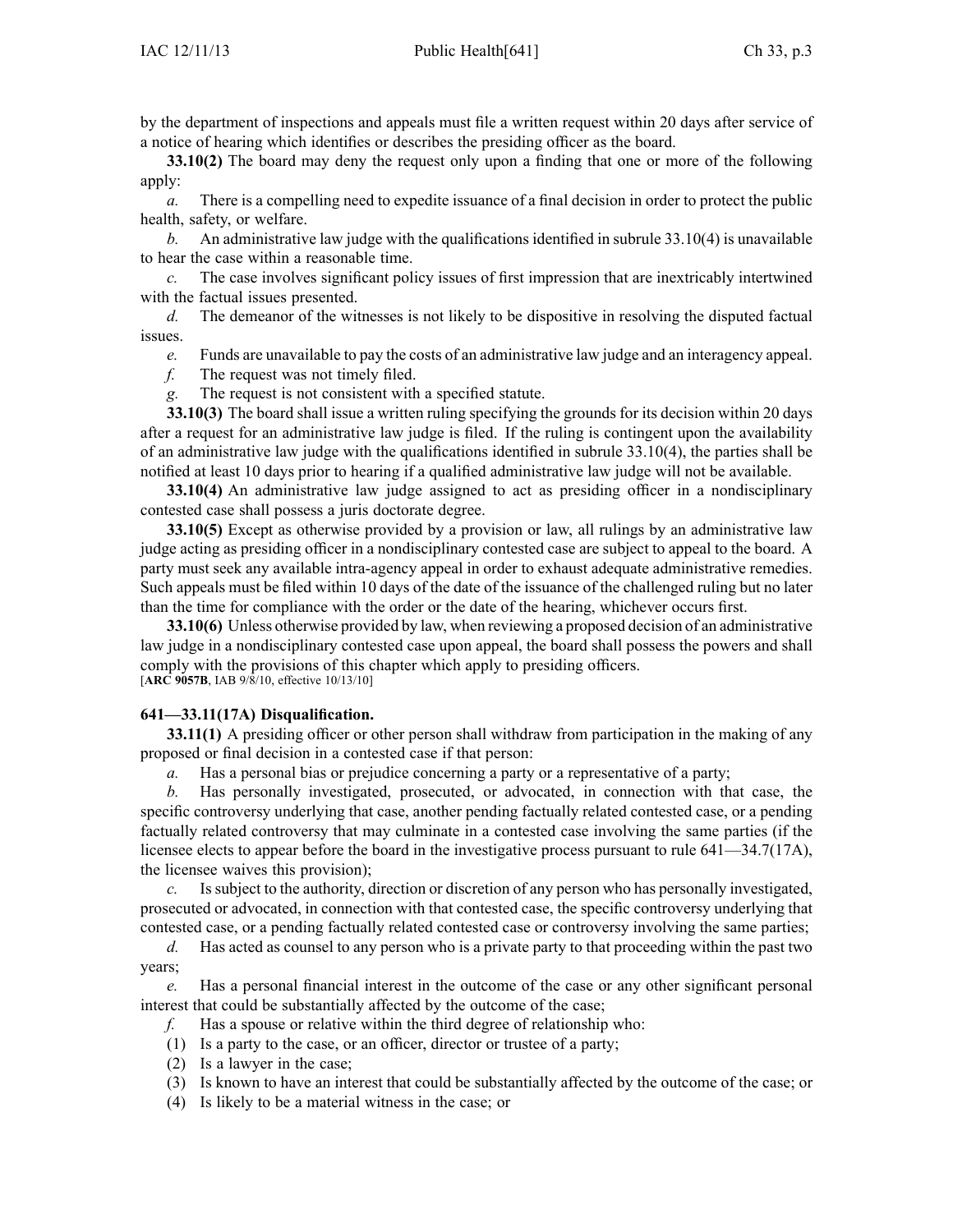by the department of inspections and appeals must file <sup>a</sup> written reques<sup>t</sup> within 20 days after service of <sup>a</sup> notice of hearing which identifies or describes the presiding officer as the board.

**33.10(2)** The board may deny the reques<sup>t</sup> only upon <sup>a</sup> finding that one or more of the following apply:

*a.* There is <sup>a</sup> compelling need to expedite issuance of <sup>a</sup> final decision in order to protect the public health, safety, or welfare.

*b.* An administrative law judge with the qualifications identified in subrule 33.10(4) is unavailable to hear the case within <sup>a</sup> reasonable time.

*c.* The case involves significant policy issues of first impression that are inextricably intertwined with the factual issues presented.

*d.* The demeanor of the witnesses is not likely to be dispositive in resolving the disputed factual issues.

*e.* Funds are unavailable to pay the costs of an administrative law judge and an interagency appeal.

*f.* The reques<sup>t</sup> was not timely filed.

*g.* The reques<sup>t</sup> is not consistent with <sup>a</sup> specified statute.

**33.10(3)** The board shall issue <sup>a</sup> written ruling specifying the grounds for its decision within 20 days after <sup>a</sup> reques<sup>t</sup> for an administrative law judge is filed. If the ruling is contingent upon the availability of an administrative law judge with the qualifications identified in subrule 33.10(4), the parties shall be notified at least 10 days prior to hearing if <sup>a</sup> qualified administrative law judge will not be available.

**33.10(4)** An administrative law judge assigned to act as presiding officer in <sup>a</sup> nondisciplinary contested case shall possess <sup>a</sup> juris doctorate degree.

**33.10(5)** Except as otherwise provided by a provision or law, all rulings by an administrative law judge acting as presiding officer in <sup>a</sup> nondisciplinary contested case are subject to appeal to the board. A party must seek any available intra-agency appeal in order to exhaust adequate administrative remedies. Such appeals must be filed within 10 days of the date of the issuance of the challenged ruling but no later than the time for compliance with the order or the date of the hearing, whichever occurs first.

**33.10(6)** Unless otherwise provided by law, when reviewing <sup>a</sup> proposed decision of an administrative law judge in <sup>a</sup> nondisciplinary contested case upon appeal, the board shall possess the powers and shall comply with the provisions of this chapter which apply to presiding officers. [**ARC 9057B**, IAB 9/8/10, effective 10/13/10]

# **641—33.11(17A) Disqualification.**

**33.11(1)** A presiding officer or other person shall withdraw from participation in the making of any proposed or final decision in <sup>a</sup> contested case if that person:

*a.* Has a personal bias or prejudice concerning a party or a representative of a party;

*b.* Has personally investigated, prosecuted, or advocated, in connection with that case, the specific controversy underlying that case, another pending factually related contested case, or <sup>a</sup> pending factually related controversy that may culminate in <sup>a</sup> contested case involving the same parties (if the licensee elects to appear before the board in the investigative process pursuan<sup>t</sup> to rule 641—34.7(17A), the licensee waives this provision);

*c.* Issubject to the authority, direction or discretion of any person who has personally investigated, prosecuted or advocated, in connection with that contested case, the specific controversy underlying that contested case, or <sup>a</sup> pending factually related contested case or controversy involving the same parties;

*d.* Has acted as counsel to any person who is <sup>a</sup> private party to that proceeding within the pas<sup>t</sup> two years;

*e.* Has <sup>a</sup> personal financial interest in the outcome of the case or any other significant personal interest that could be substantially affected by the outcome of the case;

- *f.* Has <sup>a</sup> spouse or relative within the third degree of relationship who:
- (1) Is <sup>a</sup> party to the case, or an officer, director or trustee of <sup>a</sup> party;
- (2) Is <sup>a</sup> lawyer in the case;
- (3) Is known to have an interest that could be substantially affected by the outcome of the case; or
- (4) Is likely to be <sup>a</sup> material witness in the case; or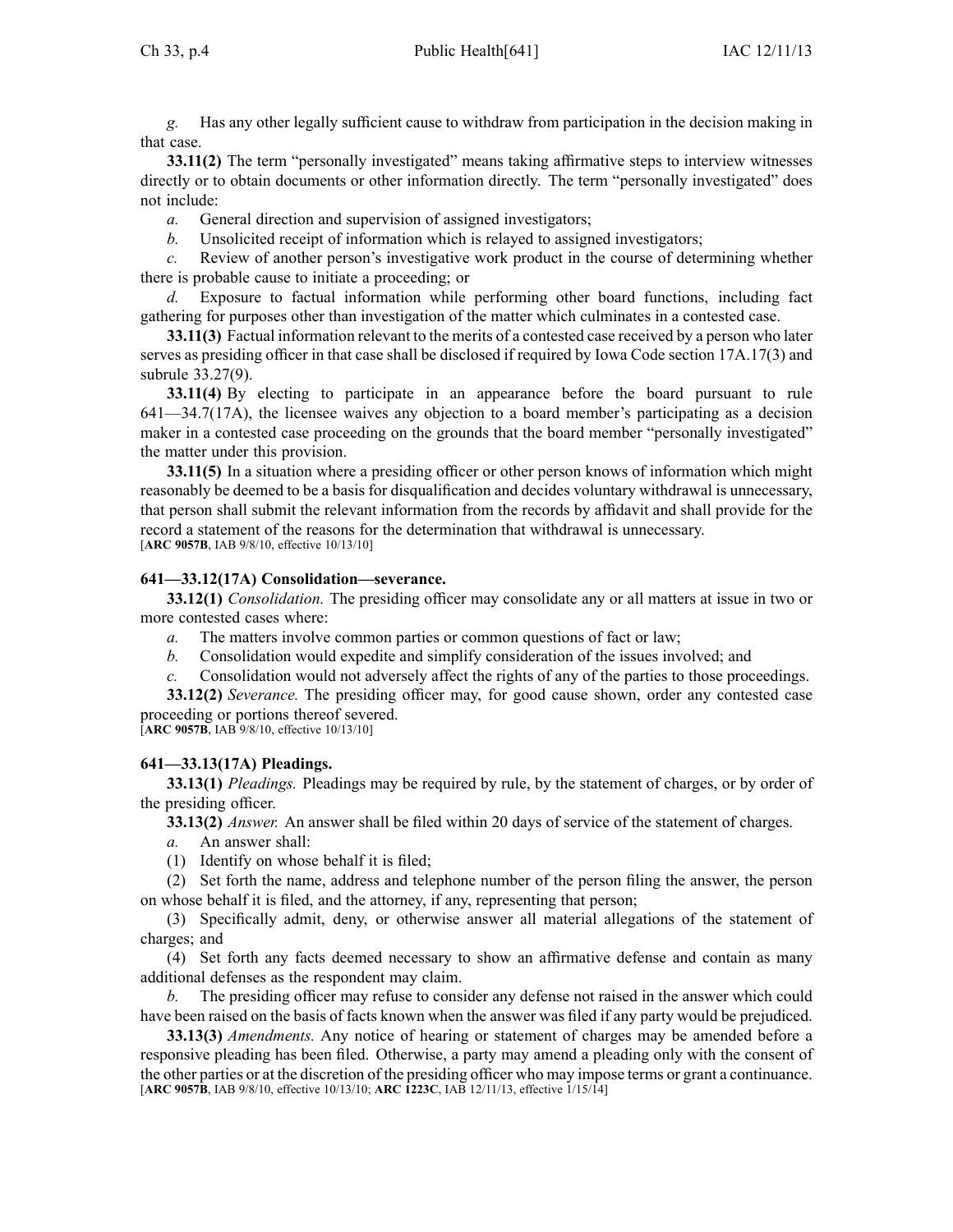*g.* Has any other legally sufficient cause to withdraw from participation in the decision making in that case.

**33.11(2)** The term "personally investigated" means taking affirmative steps to interview witnesses directly or to obtain documents or other information directly. The term "personally investigated" does not include:

*a.* General direction and supervision of assigned investigators;

*b.* Unsolicited receipt of information which is relayed to assigned investigators;

*c.* Review of another person's investigative work product in the course of determining whether there is probable cause to initiate <sup>a</sup> proceeding; or

*d.* Exposure to factual information while performing other board functions, including fact gathering for purposes other than investigation of the matter which culminates in <sup>a</sup> contested case.

**33.11(3)** Factual information relevant to the merits of <sup>a</sup> contested case received by <sup>a</sup> person who later serves as presiding officer in that case shall be disclosed if required by Iowa Code section 17A.17(3) and subrule 33.27(9).

**33.11(4)** By electing to participate in an appearance before the board pursuan<sup>t</sup> to rule 641—34.7(17A), the licensee waives any objection to <sup>a</sup> board member's participating as <sup>a</sup> decision maker in <sup>a</sup> contested case proceeding on the grounds that the board member "personally investigated" the matter under this provision.

**33.11(5)** In <sup>a</sup> situation where <sup>a</sup> presiding officer or other person knows of information which might reasonably be deemed to be <sup>a</sup> basis for disqualification and decides voluntary withdrawal is unnecessary, that person shall submit the relevant information from the records by affidavit and shall provide for the record <sup>a</sup> statement of the reasons for the determination that withdrawal is unnecessary. [**ARC 9057B**, IAB 9/8/10, effective 10/13/10]

## **641—33.12(17A) Consolidation—severance.**

**33.12(1)** *Consolidation.* The presiding officer may consolidate any or all matters at issue in two or more contested cases where:

- *a.* The matters involve common parties or common questions of fact or law;
- *b.* Consolidation would expedite and simplify consideration of the issues involved; and
- *c.* Consolidation would not adversely affect the rights of any of the parties to those proceedings.

**33.12(2)** *Severance.* The presiding officer may, for good cause shown, order any contested case proceeding or portions thereof severed.

[**ARC 9057B**, IAB 9/8/10, effective 10/13/10]

# **641—33.13(17A) Pleadings.**

**33.13(1)** *Pleadings.* Pleadings may be required by rule, by the statement of charges, or by order of the presiding officer.

**33.13(2)** *Answer.* An answer shall be filed within 20 days of service of the statement of charges.

- *a.* An answer shall:
- (1) Identify on whose behalf it is filed;

(2) Set forth the name, address and telephone number of the person filing the answer, the person on whose behalf it is filed, and the attorney, if any, representing that person;

(3) Specifically admit, deny, or otherwise answer all material allegations of the statement of charges; and

(4) Set forth any facts deemed necessary to show an affirmative defense and contain as many additional defenses as the respondent may claim.

*b.* The presiding officer may refuse to consider any defense not raised in the answer which could have been raised on the basis of facts known when the answer was filed if any party would be prejudiced.

**33.13(3)** *Amendments.* Any notice of hearing or statement of charges may be amended before <sup>a</sup> responsive pleading has been filed. Otherwise, <sup>a</sup> party may amend <sup>a</sup> pleading only with the consent of the other parties or at the discretion of the presiding officer who may impose terms or gran<sup>t</sup> <sup>a</sup> continuance. [**ARC 9057B**, IAB 9/8/10, effective 10/13/10; **ARC 1223C**, IAB 12/11/13, effective 1/15/14]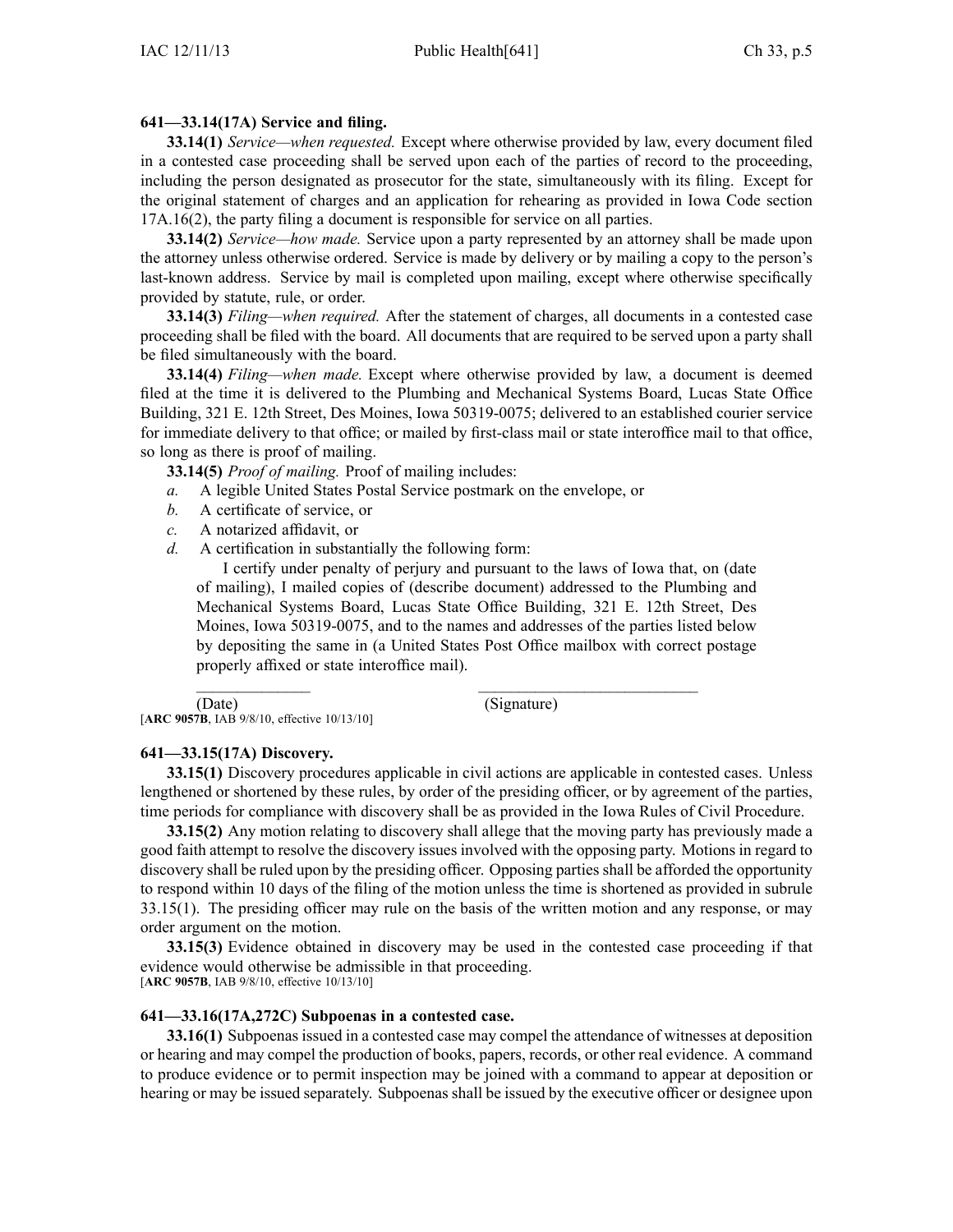## **641—33.14(17A) Service and filing.**

**33.14(1)** *Service—when requested.* Except where otherwise provided by law, every document filed in <sup>a</sup> contested case proceeding shall be served upon each of the parties of record to the proceeding, including the person designated as prosecutor for the state, simultaneously with its filing. Except for the original statement of charges and an application for rehearing as provided in Iowa Code section 17A.16(2), the party filing <sup>a</sup> document is responsible for service on all parties.

**33.14(2)** *Service—how made.* Service upon <sup>a</sup> party represented by an attorney shall be made upon the attorney unless otherwise ordered. Service is made by delivery or by mailing <sup>a</sup> copy to the person's last-known address. Service by mail is completed upon mailing, excep<sup>t</sup> where otherwise specifically provided by statute, rule, or order.

**33.14(3)** *Filing—when required.* After the statement of charges, all documents in <sup>a</sup> contested case proceeding shall be filed with the board. All documents that are required to be served upon <sup>a</sup> party shall be filed simultaneously with the board.

**33.14(4)** *Filing—when made.* Except where otherwise provided by law, <sup>a</sup> document is deemed filed at the time it is delivered to the Plumbing and Mechanical Systems Board, Lucas State Office Building, 321 E. 12th Street, Des Moines, Iowa 50319-0075; delivered to an established courier service for immediate delivery to that office; or mailed by first-class mail or state interoffice mail to that office, so long as there is proof of mailing.

**33.14(5)** *Proof of mailing.* Proof of mailing includes:

- *a.* A legible United States Postal Service postmark on the envelope, or
- *b.* A certificate of service, or
- *c.* A notarized affidavit, or
- *d.* A certification in substantially the following form:

I certify under penalty of perjury and pursuan<sup>t</sup> to the laws of Iowa that, on (date of mailing), I mailed copies of (describe document) addressed to the Plumbing and Mechanical Systems Board, Lucas State Office Building, 321 E. 12th Street, Des Moines, Iowa 50319-0075, and to the names and addresses of the parties listed below by depositing the same in (a United States Post Office mailbox with correct postage properly affixed or state interoffice mail).

\_\_\_\_\_\_\_\_\_\_\_\_\_\_ \_\_\_\_\_\_\_\_\_\_\_\_\_\_\_\_\_\_\_\_\_\_\_\_\_\_\_

[**ARC 9057B**, IAB 9/8/10, effective 10/13/10]

(Date) (Signature)

# **641—33.15(17A) Discovery.**

**33.15(1)** Discovery procedures applicable in civil actions are applicable in contested cases. Unless lengthened or shortened by these rules, by order of the presiding officer, or by agreemen<sup>t</sup> of the parties, time periods for compliance with discovery shall be as provided in the Iowa Rules of Civil Procedure.

**33.15(2)** Any motion relating to discovery shall allege that the moving party has previously made <sup>a</sup> good faith attempt to resolve the discovery issues involved with the opposing party. Motions in regard to discovery shall be ruled upon by the presiding officer. Opposing parties shall be afforded the opportunity to respond within 10 days of the filing of the motion unless the time is shortened as provided in subrule 33.15(1). The presiding officer may rule on the basis of the written motion and any response, or may order argumen<sup>t</sup> on the motion.

**33.15(3)** Evidence obtained in discovery may be used in the contested case proceeding if that evidence would otherwise be admissible in that proceeding. [**ARC 9057B**, IAB 9/8/10, effective 10/13/10]

### **641—33.16(17A,272C) Subpoenas in <sup>a</sup> contested case.**

**33.16(1)** Subpoenas issued in <sup>a</sup> contested case may compel the attendance of witnesses at deposition or hearing and may compel the production of books, papers, records, or other real evidence. A command to produce evidence or to permit inspection may be joined with <sup>a</sup> command to appear at deposition or hearing or may be issued separately. Subpoenas shall be issued by the executive officer or designee upon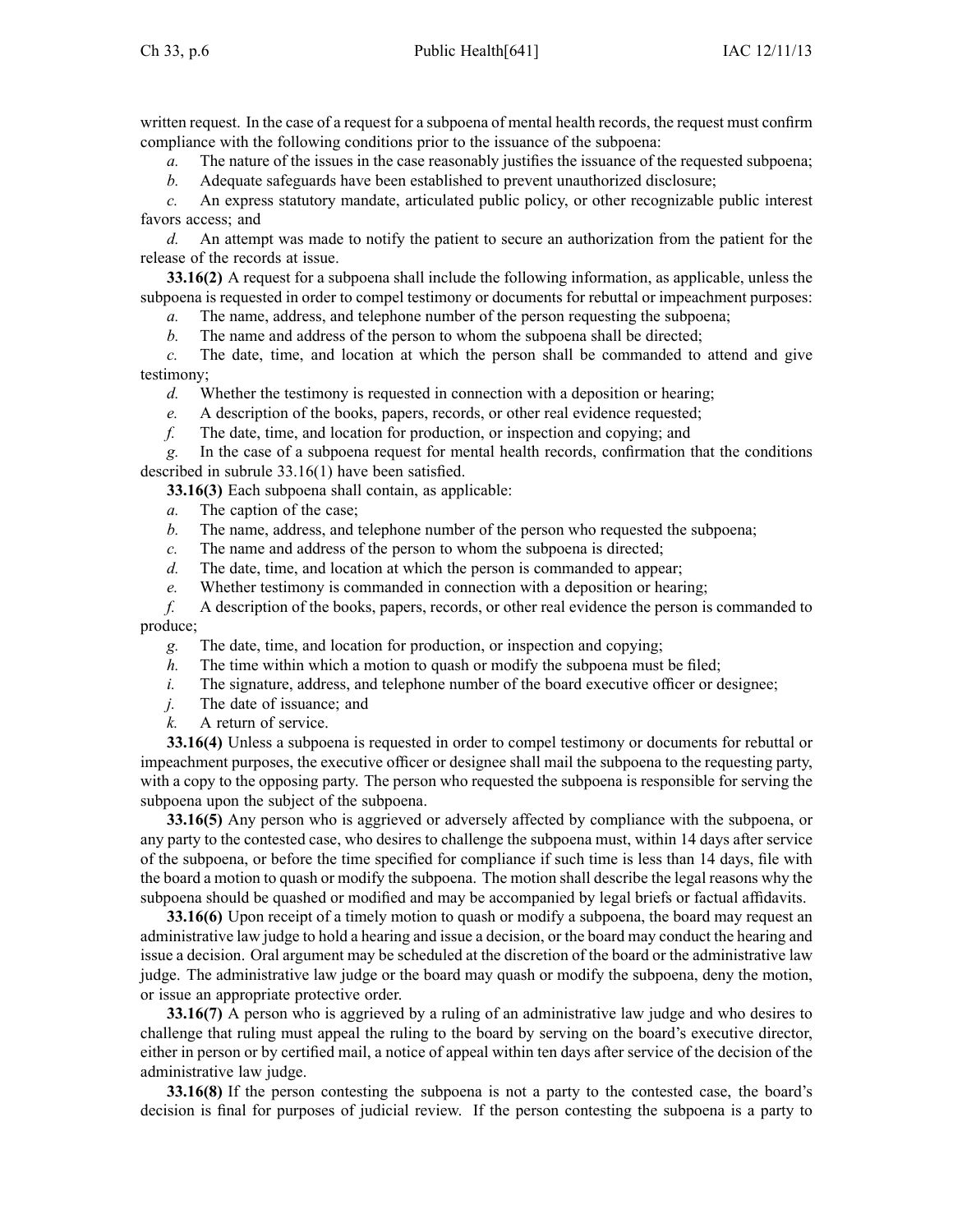written request. In the case of <sup>a</sup> reques<sup>t</sup> for <sup>a</sup> subpoena of mental health records, the reques<sup>t</sup> must confirm compliance with the following conditions prior to the issuance of the subpoena:

*a.* The nature of the issues in the case reasonably justifies the issuance of the requested subpoena;

*b.* Adequate safeguards have been established to preven<sup>t</sup> unauthorized disclosure;

*c.* An express statutory mandate, articulated public policy, or other recognizable public interest favors access; and

*d.* An attempt was made to notify the patient to secure an authorization from the patient for the release of the records at issue.

**33.16(2)** A reques<sup>t</sup> for <sup>a</sup> subpoena shall include the following information, as applicable, unless the subpoena is requested in order to compel testimony or documents for rebuttal or impeachment purposes:

*a.* The name, address, and telephone number of the person requesting the subpoena;

*b.* The name and address of the person to whom the subpoena shall be directed;

*c.* The date, time, and location at which the person shall be commanded to attend and give testimony;

*d.* Whether the testimony is requested in connection with <sup>a</sup> deposition or hearing;

*e.* A description of the books, papers, records, or other real evidence requested;

*f.* The date, time, and location for production, or inspection and copying; and

*g.* In the case of <sup>a</sup> subpoena reques<sup>t</sup> for mental health records, confirmation that the conditions described in subrule 33.16(1) have been satisfied.

**33.16(3)** Each subpoena shall contain, as applicable:

*a.* The caption of the case;

- *b.* The name, address, and telephone number of the person who requested the subpoena;
- *c.* The name and address of the person to whom the subpoena is directed;
- *d.* The date, time, and location at which the person is commanded to appear;
- *e.* Whether testimony is commanded in connection with <sup>a</sup> deposition or hearing;

*f.* A description of the books, papers, records, or other real evidence the person is commanded to produce;

*g.* The date, time, and location for production, or inspection and copying;

- *h.* The time within which a motion to quash or modify the subpoena must be filed;
- *i.* The signature, address, and telephone number of the board executive officer or designee;
- *j.* The date of issuance; and

*k.* A return of service.

**33.16(4)** Unless <sup>a</sup> subpoena is requested in order to compel testimony or documents for rebuttal or impeachment purposes, the executive officer or designee shall mail the subpoena to the requesting party, with <sup>a</sup> copy to the opposing party. The person who requested the subpoena is responsible for serving the subpoena upon the subject of the subpoena.

**33.16(5)** Any person who is aggrieved or adversely affected by compliance with the subpoena, or any party to the contested case, who desires to challenge the subpoena must, within 14 days after service of the subpoena, or before the time specified for compliance if such time is less than 14 days, file with the board <sup>a</sup> motion to quash or modify the subpoena. The motion shall describe the legal reasons why the subpoena should be quashed or modified and may be accompanied by legal briefs or factual affidavits.

**33.16(6)** Upon receipt of <sup>a</sup> timely motion to quash or modify <sup>a</sup> subpoena, the board may reques<sup>t</sup> an administrative law judge to hold <sup>a</sup> hearing and issue <sup>a</sup> decision, or the board may conduct the hearing and issue <sup>a</sup> decision. Oral argumen<sup>t</sup> may be scheduled at the discretion of the board or the administrative law judge. The administrative law judge or the board may quash or modify the subpoena, deny the motion, or issue an appropriate protective order.

**33.16(7)** A person who is aggrieved by <sup>a</sup> ruling of an administrative law judge and who desires to challenge that ruling must appeal the ruling to the board by serving on the board's executive director, either in person or by certified mail, <sup>a</sup> notice of appeal within ten days after service of the decision of the administrative law judge.

**33.16(8)** If the person contesting the subpoena is not <sup>a</sup> party to the contested case, the board's decision is final for purposes of judicial review. If the person contesting the subpoena is <sup>a</sup> party to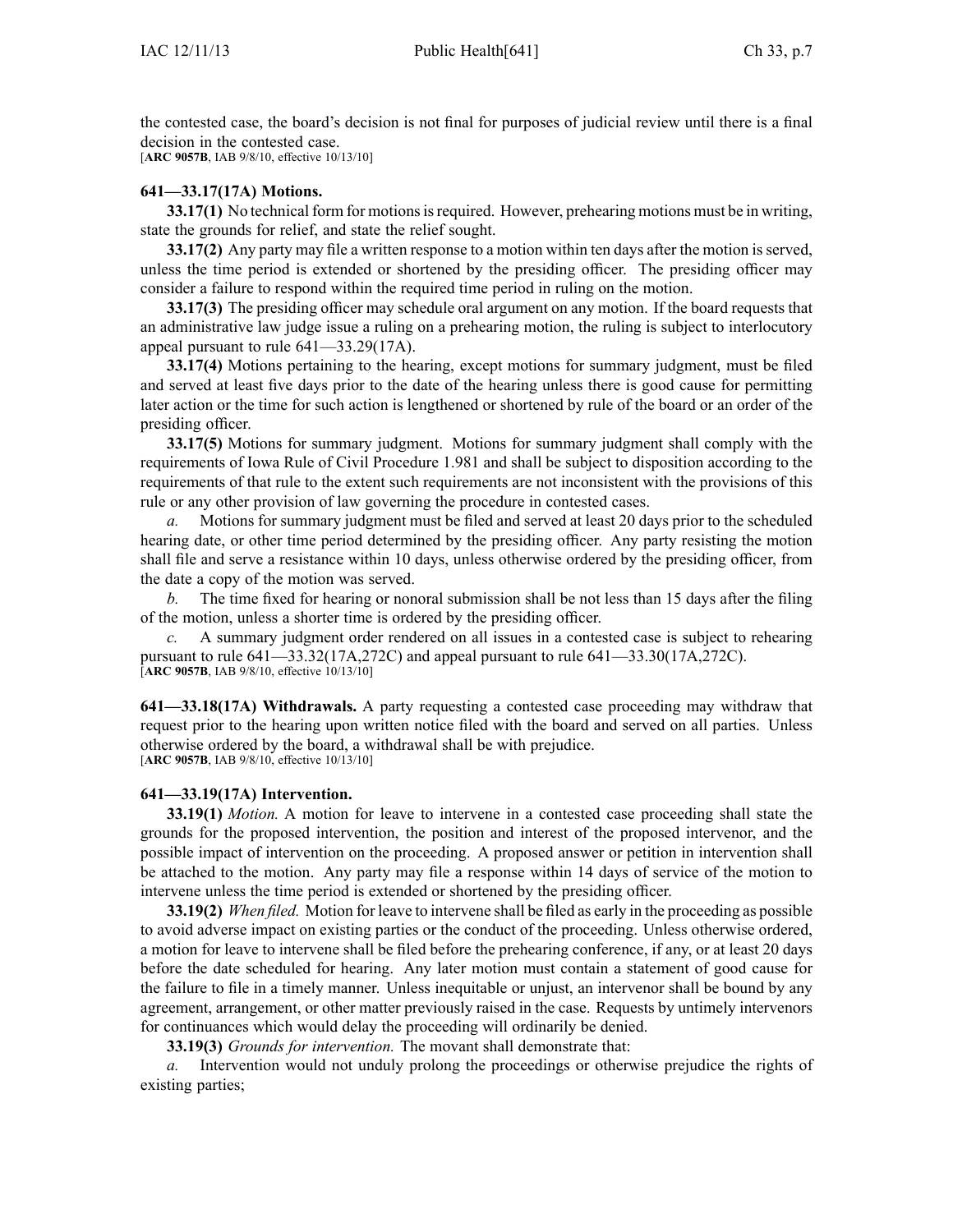the contested case, the board's decision is not final for purposes of judicial review until there is <sup>a</sup> final decision in the contested case. [**ARC 9057B**, IAB 9/8/10, effective 10/13/10]

## **641—33.17(17A) Motions.**

**33.17(1)** No technical form for motions is required. However, prehearing motions must be in writing, state the grounds for relief, and state the relief sought.

**33.17(2)** Any party may file a written response to a motion within ten days after the motion is served, unless the time period is extended or shortened by the presiding officer. The presiding officer may consider <sup>a</sup> failure to respond within the required time period in ruling on the motion.

**33.17(3)** The presiding officer may schedule oral argumen<sup>t</sup> on any motion. If the board requests that an administrative law judge issue <sup>a</sup> ruling on <sup>a</sup> prehearing motion, the ruling is subject to interlocutory appeal pursuan<sup>t</sup> to rule 641—33.29(17A).

**33.17(4)** Motions pertaining to the hearing, excep<sup>t</sup> motions for summary judgment, must be filed and served at least five days prior to the date of the hearing unless there is good cause for permitting later action or the time for such action is lengthened or shortened by rule of the board or an order of the presiding officer.

**33.17(5)** Motions for summary judgment. Motions for summary judgment shall comply with the requirements of Iowa Rule of Civil Procedure 1.981 and shall be subject to disposition according to the requirements of that rule to the extent such requirements are not inconsistent with the provisions of this rule or any other provision of law governing the procedure in contested cases.

*a.* Motions for summary judgment must be filed and served at least 20 days prior to the scheduled hearing date, or other time period determined by the presiding officer. Any party resisting the motion shall file and serve <sup>a</sup> resistance within 10 days, unless otherwise ordered by the presiding officer, from the date <sup>a</sup> copy of the motion was served.

*b.* The time fixed for hearing or nonoral submission shall be not less than 15 days after the filing of the motion, unless <sup>a</sup> shorter time is ordered by the presiding officer.

*c.* A summary judgment order rendered on all issues in <sup>a</sup> contested case is subject to rehearing pursuan<sup>t</sup> to rule 641—33.32(17A,272C) and appeal pursuan<sup>t</sup> to rule 641—33.30(17A,272C). [**ARC 9057B**, IAB 9/8/10, effective 10/13/10]

**641—33.18(17A) Withdrawals.** A party requesting <sup>a</sup> contested case proceeding may withdraw that reques<sup>t</sup> prior to the hearing upon written notice filed with the board and served on all parties. Unless otherwise ordered by the board, <sup>a</sup> withdrawal shall be with prejudice. [**ARC 9057B**, IAB 9/8/10, effective 10/13/10]

## **641—33.19(17A) Intervention.**

**33.19(1)** *Motion.* A motion for leave to intervene in <sup>a</sup> contested case proceeding shall state the grounds for the proposed intervention, the position and interest of the proposed intervenor, and the possible impact of intervention on the proceeding. A proposed answer or petition in intervention shall be attached to the motion. Any party may file <sup>a</sup> response within 14 days of service of the motion to intervene unless the time period is extended or shortened by the presiding officer.

**33.19(2)** *When filed.* Motion for leave to intervene shall be filed as early in the proceeding as possible to avoid adverse impact on existing parties or the conduct of the proceeding. Unless otherwise ordered, <sup>a</sup> motion for leave to intervene shall be filed before the prehearing conference, if any, or at least 20 days before the date scheduled for hearing. Any later motion must contain <sup>a</sup> statement of good cause for the failure to file in <sup>a</sup> timely manner. Unless inequitable or unjust, an intervenor shall be bound by any agreement, arrangement, or other matter previously raised in the case. Requests by untimely intervenors for continuances which would delay the proceeding will ordinarily be denied.

**33.19(3)** *Grounds for intervention.* The movant shall demonstrate that:

*a.* Intervention would not unduly prolong the proceedings or otherwise prejudice the rights of existing parties;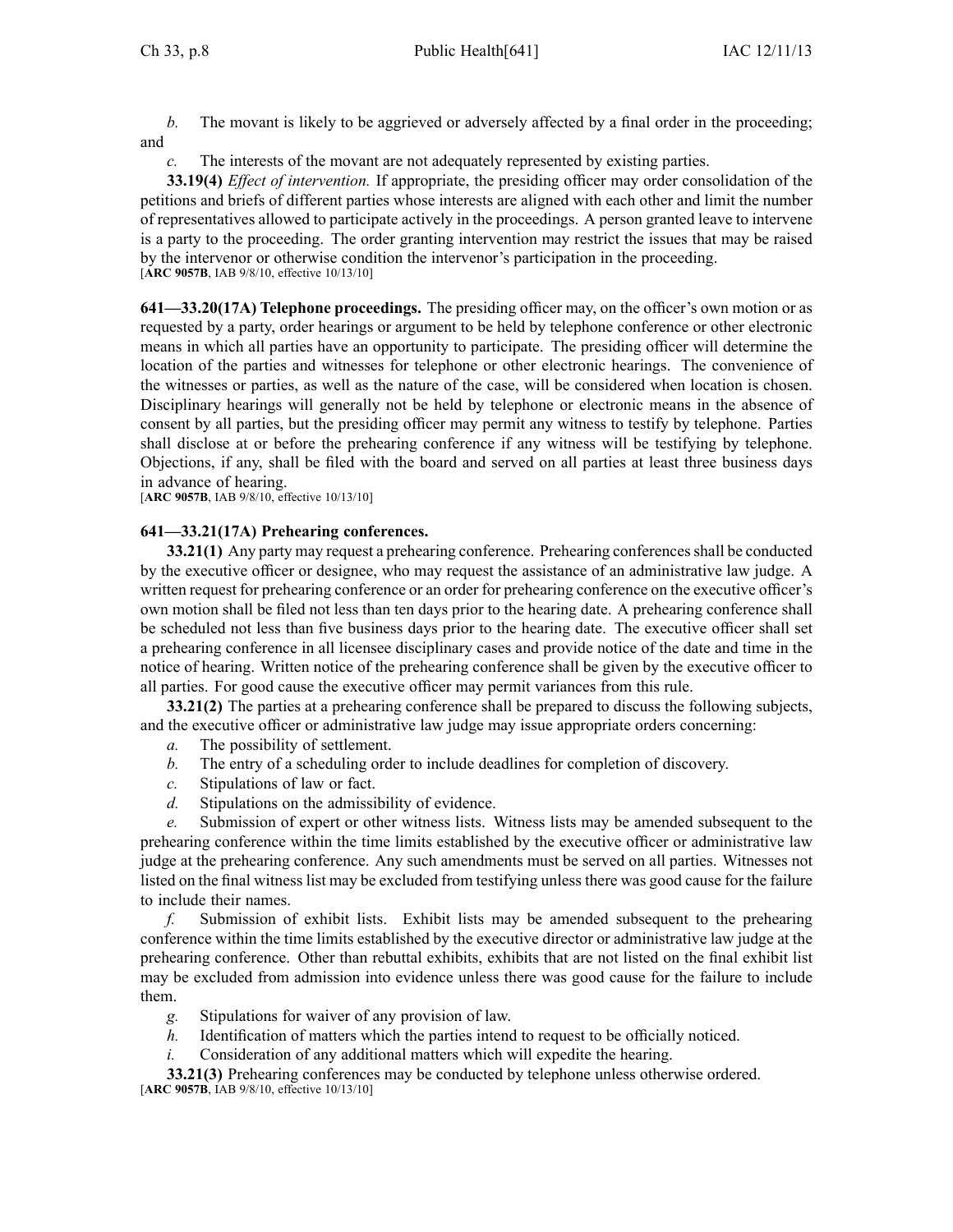*b.* The movant is likely to be aggrieved or adversely affected by <sup>a</sup> final order in the proceeding; and

*c.* The interests of the movant are not adequately represented by existing parties.

**33.19(4)** *Effect of intervention.* If appropriate, the presiding officer may order consolidation of the petitions and briefs of different parties whose interests are aligned with each other and limit the number of representatives allowed to participate actively in the proceedings. A person granted leave to intervene is <sup>a</sup> party to the proceeding. The order granting intervention may restrict the issues that may be raised by the intervenor or otherwise condition the intervenor's participation in the proceeding. [**ARC 9057B**, IAB 9/8/10, effective 10/13/10]

**641—33.20(17A) Telephone proceedings.** The presiding officer may, on the officer's own motion or as requested by <sup>a</sup> party, order hearings or argumen<sup>t</sup> to be held by telephone conference or other electronic means in which all parties have an opportunity to participate. The presiding officer will determine the location of the parties and witnesses for telephone or other electronic hearings. The convenience of the witnesses or parties, as well as the nature of the case, will be considered when location is chosen. Disciplinary hearings will generally not be held by telephone or electronic means in the absence of consent by all parties, but the presiding officer may permit any witness to testify by telephone. Parties shall disclose at or before the prehearing conference if any witness will be testifying by telephone. Objections, if any, shall be filed with the board and served on all parties at least three business days in advance of hearing.

[**ARC 9057B**, IAB 9/8/10, effective 10/13/10]

## **641—33.21(17A) Prehearing conferences.**

**33.21(1)** Any party may request a prehearing conference. Prehearing conferences shall be conducted by the executive officer or designee, who may reques<sup>t</sup> the assistance of an administrative law judge. A written reques<sup>t</sup> for prehearing conference or an order for prehearing conference on the executive officer's own motion shall be filed not less than ten days prior to the hearing date. A prehearing conference shall be scheduled not less than five business days prior to the hearing date. The executive officer shall set <sup>a</sup> prehearing conference in all licensee disciplinary cases and provide notice of the date and time in the notice of hearing. Written notice of the prehearing conference shall be given by the executive officer to all parties. For good cause the executive officer may permit variances from this rule.

**33.21(2)** The parties at <sup>a</sup> prehearing conference shall be prepared to discuss the following subjects, and the executive officer or administrative law judge may issue appropriate orders concerning:

- *a.* The possibility of settlement.
- *b.* The entry of <sup>a</sup> scheduling order to include deadlines for completion of discovery.
- *c.* Stipulations of law or fact.
- *d.* Stipulations on the admissibility of evidence.

*e.* Submission of exper<sup>t</sup> or other witness lists. Witness lists may be amended subsequent to the prehearing conference within the time limits established by the executive officer or administrative law judge at the prehearing conference. Any such amendments must be served on all parties. Witnesses not listed on the final witness list may be excluded from testifying unless there was good cause for the failure to include their names.

*f.* Submission of exhibit lists. Exhibit lists may be amended subsequent to the prehearing conference within the time limits established by the executive director or administrative law judge at the prehearing conference. Other than rebuttal exhibits, exhibits that are not listed on the final exhibit list may be excluded from admission into evidence unless there was good cause for the failure to include them.

- *g.* Stipulations for waiver of any provision of law.
- *h.* Identification of matters which the parties intend to reques<sup>t</sup> to be officially noticed.
- *i.* Consideration of any additional matters which will expedite the hearing.

**33.21(3)** Prehearing conferences may be conducted by telephone unless otherwise ordered. [**ARC 9057B**, IAB 9/8/10, effective 10/13/10]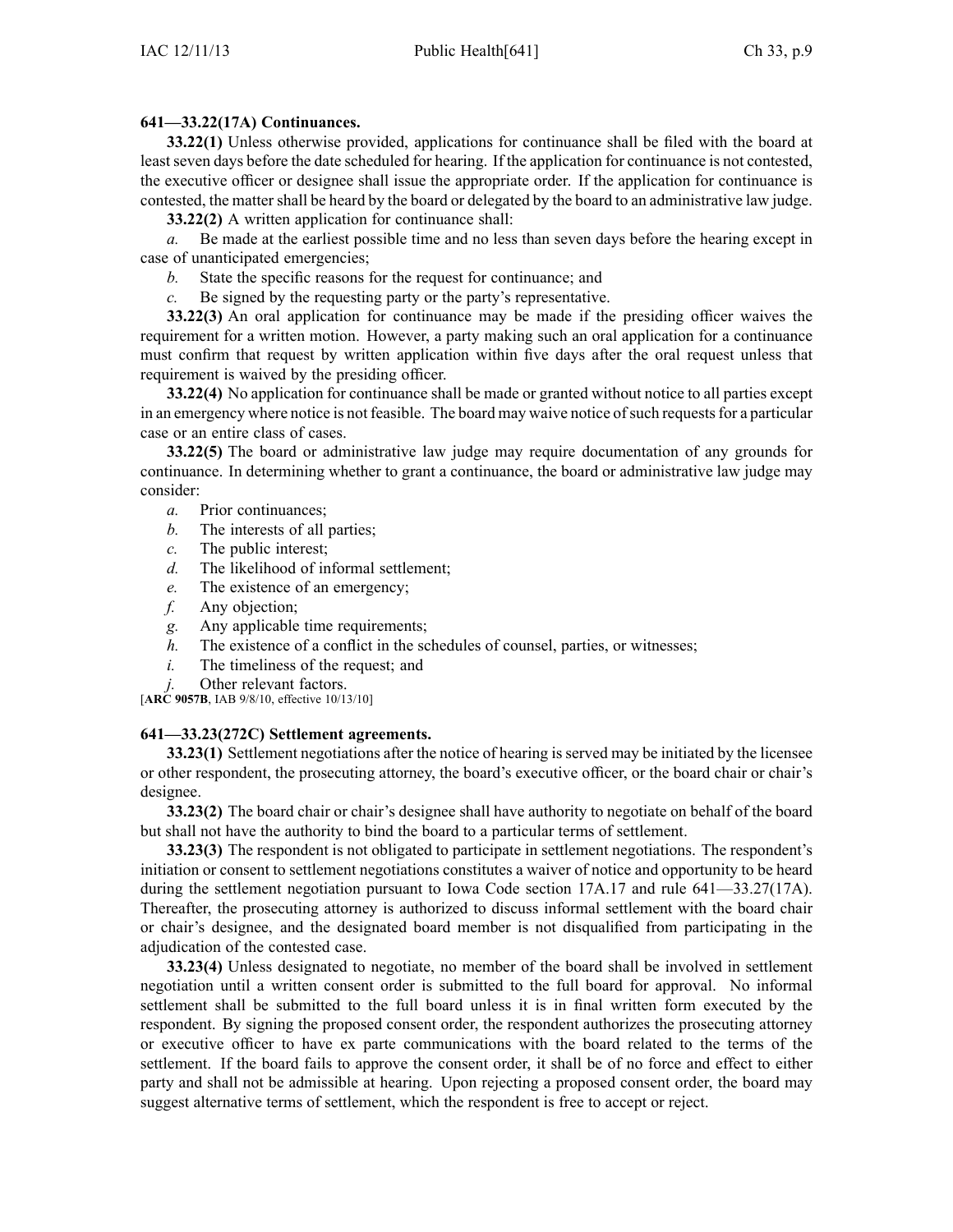# **641—33.22(17A) Continuances.**

**33.22(1)** Unless otherwise provided, applications for continuance shall be filed with the board at least seven days before the date scheduled for hearing. If the application for continuance is not contested, the executive officer or designee shall issue the appropriate order. If the application for continuance is contested, the mattershall be heard by the board or delegated by the board to an administrative law judge.

**33.22(2)** A written application for continuance shall:

*a.* Be made at the earliest possible time and no less than seven days before the hearing excep<sup>t</sup> in case of unanticipated emergencies;

*b.* State the specific reasons for the reques<sup>t</sup> for continuance; and

*c.* Be signed by the requesting party or the party's representative.

**33.22(3)** An oral application for continuance may be made if the presiding officer waives the requirement for <sup>a</sup> written motion. However, <sup>a</sup> party making such an oral application for <sup>a</sup> continuance must confirm that reques<sup>t</sup> by written application within five days after the oral reques<sup>t</sup> unless that requirement is waived by the presiding officer.

**33.22(4)** No application for continuance shall be made or granted without notice to all parties excep<sup>t</sup> in an emergency where notice is not feasible. The board may waive notice of such requests for a particular case or an entire class of cases.

**33.22(5)** The board or administrative law judge may require documentation of any grounds for continuance. In determining whether to gran<sup>t</sup> <sup>a</sup> continuance, the board or administrative law judge may consider:

- *a.* Prior continuances;
- *b.* The interests of all parties;
- *c.* The public interest;
- *d.* The likelihood of informal settlement;
- *e.* The existence of an emergency;
- *f.* Any objection;
- *g.* Any applicable time requirements;
- *h.* The existence of <sup>a</sup> conflict in the schedules of counsel, parties, or witnesses;
- *i.* The timeliness of the request; and
- Other relevant factors.

[**ARC 9057B**, IAB 9/8/10, effective 10/13/10]

### **641—33.23(272C) Settlement agreements.**

**33.23(1)** Settlement negotiations after the notice of hearing is served may be initiated by the licensee or other respondent, the prosecuting attorney, the board's executive officer, or the board chair or chair's designee.

**33.23(2)** The board chair or chair's designee shall have authority to negotiate on behalf of the board but shall not have the authority to bind the board to <sup>a</sup> particular terms of settlement.

**33.23(3)** The respondent is not obligated to participate in settlement negotiations. The respondent's initiation or consent to settlement negotiations constitutes <sup>a</sup> waiver of notice and opportunity to be heard during the settlement negotiation pursuan<sup>t</sup> to Iowa Code section 17A.17 and rule 641—33.27(17A). Thereafter, the prosecuting attorney is authorized to discuss informal settlement with the board chair or chair's designee, and the designated board member is not disqualified from participating in the adjudication of the contested case.

**33.23(4)** Unless designated to negotiate, no member of the board shall be involved in settlement negotiation until <sup>a</sup> written consent order is submitted to the full board for approval. No informal settlement shall be submitted to the full board unless it is in final written form executed by the respondent. By signing the proposed consent order, the respondent authorizes the prosecuting attorney or executive officer to have ex parte communications with the board related to the terms of the settlement. If the board fails to approve the consent order, it shall be of no force and effect to either party and shall not be admissible at hearing. Upon rejecting <sup>a</sup> proposed consent order, the board may sugges<sup>t</sup> alternative terms of settlement, which the respondent is free to accep<sup>t</sup> or reject.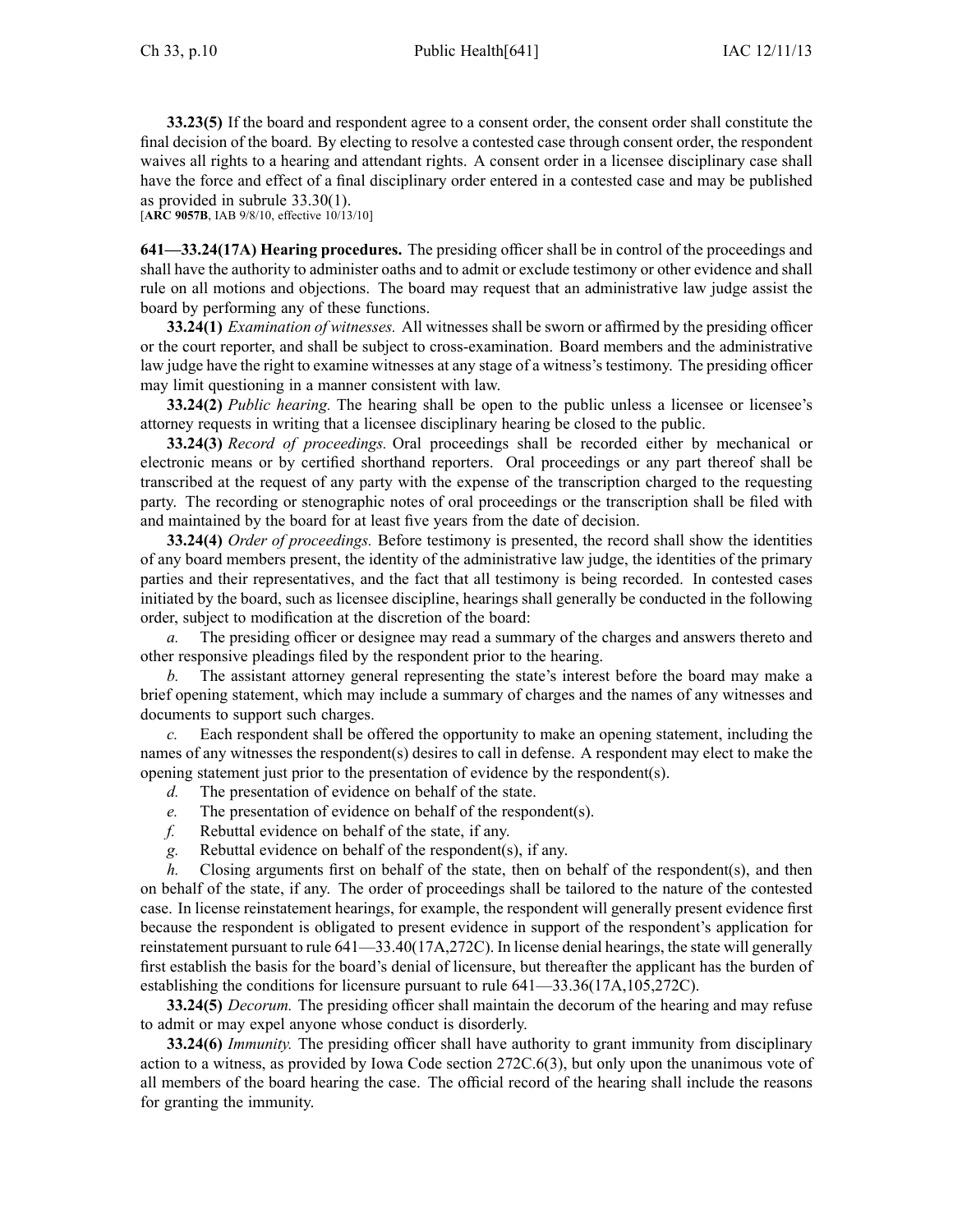**33.23(5)** If the board and respondent agree to <sup>a</sup> consent order, the consent order shall constitute the final decision of the board. By electing to resolve <sup>a</sup> contested case through consent order, the respondent waives all rights to <sup>a</sup> hearing and attendant rights. A consent order in <sup>a</sup> licensee disciplinary case shall have the force and effect of <sup>a</sup> final disciplinary order entered in <sup>a</sup> contested case and may be published as provided in subrule 33.30(1).

[**ARC 9057B**, IAB 9/8/10, effective 10/13/10]

**641—33.24(17A) Hearing procedures.** The presiding officer shall be in control of the proceedings and shall have the authority to administer oaths and to admit or exclude testimony or other evidence and shall rule on all motions and objections. The board may reques<sup>t</sup> that an administrative law judge assist the board by performing any of these functions.

**33.24(1)** *Examination of witnesses.* All witnesses shall be sworn or affirmed by the presiding officer or the court reporter, and shall be subject to cross-examination. Board members and the administrative law judge have the right to examine witnesses at any stage of <sup>a</sup> witness's testimony. The presiding officer may limit questioning in <sup>a</sup> manner consistent with law.

**33.24(2)** *Public hearing.* The hearing shall be open to the public unless <sup>a</sup> licensee or licensee's attorney requests in writing that <sup>a</sup> licensee disciplinary hearing be closed to the public.

**33.24(3)** *Record of proceedings.* Oral proceedings shall be recorded either by mechanical or electronic means or by certified shorthand reporters. Oral proceedings or any par<sup>t</sup> thereof shall be transcribed at the reques<sup>t</sup> of any party with the expense of the transcription charged to the requesting party. The recording or stenographic notes of oral proceedings or the transcription shall be filed with and maintained by the board for at least five years from the date of decision.

**33.24(4)** *Order of proceedings.* Before testimony is presented, the record shall show the identities of any board members present, the identity of the administrative law judge, the identities of the primary parties and their representatives, and the fact that all testimony is being recorded. In contested cases initiated by the board, such as licensee discipline, hearings shall generally be conducted in the following order, subject to modification at the discretion of the board:

*a.* The presiding officer or designee may read <sup>a</sup> summary of the charges and answers thereto and other responsive pleadings filed by the respondent prior to the hearing.

*b.* The assistant attorney general representing the state's interest before the board may make <sup>a</sup> brief opening statement, which may include <sup>a</sup> summary of charges and the names of any witnesses and documents to suppor<sup>t</sup> such charges.

*c.* Each respondent shall be offered the opportunity to make an opening statement, including the names of any witnesses the respondent(s) desires to call in defense. A respondent may elect to make the opening statement just prior to the presentation of evidence by the respondent(s).

- *d.* The presentation of evidence on behalf of the state.
- *e.* The presentation of evidence on behalf of the respondent(s).
- *f.* Rebuttal evidence on behalf of the state, if any.
- *g.* Rebuttal evidence on behalf of the respondent(s), if any.

*h.* Closing arguments first on behalf of the state, then on behalf of the respondent(s), and then on behalf of the state, if any. The order of proceedings shall be tailored to the nature of the contested case. In license reinstatement hearings, for example, the respondent will generally presen<sup>t</sup> evidence first because the respondent is obligated to presen<sup>t</sup> evidence in suppor<sup>t</sup> of the respondent's application for reinstatement pursuan<sup>t</sup> to rule 641—33.40(17A,272C). In license denial hearings, the state will generally first establish the basis for the board's denial of licensure, but thereafter the applicant has the burden of establishing the conditions for licensure pursuan<sup>t</sup> to rule 641—33.36(17A,105,272C).

**33.24(5)** *Decorum.* The presiding officer shall maintain the decorum of the hearing and may refuse to admit or may expel anyone whose conduct is disorderly.

**33.24(6)** *Immunity.* The presiding officer shall have authority to gran<sup>t</sup> immunity from disciplinary action to <sup>a</sup> witness, as provided by Iowa Code section 272C.6(3), but only upon the unanimous vote of all members of the board hearing the case. The official record of the hearing shall include the reasons for granting the immunity.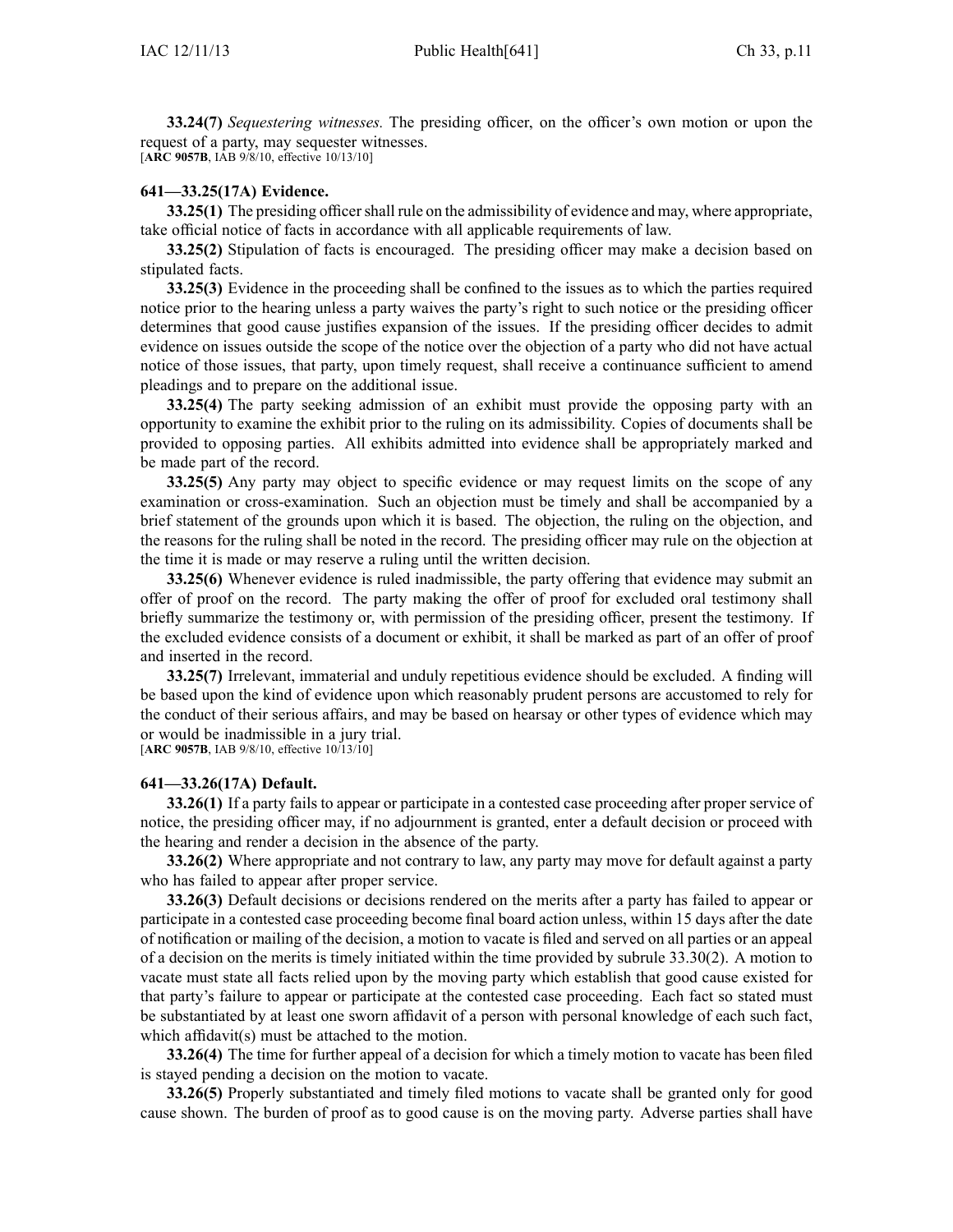**33.24(7)** *Sequestering witnesses.* The presiding officer, on the officer's own motion or upon the reques<sup>t</sup> of <sup>a</sup> party, may sequester witnesses. [**ARC 9057B**, IAB 9/8/10, effective 10/13/10]

#### **641—33.25(17A) Evidence.**

**33.25(1)** The presiding officer shall rule on the admissibility of evidence and may, where appropriate, take official notice of facts in accordance with all applicable requirements of law.

**33.25(2)** Stipulation of facts is encouraged. The presiding officer may make <sup>a</sup> decision based on stipulated facts.

**33.25(3)** Evidence in the proceeding shall be confined to the issues as to which the parties required notice prior to the hearing unless <sup>a</sup> party waives the party's right to such notice or the presiding officer determines that good cause justifies expansion of the issues. If the presiding officer decides to admit evidence on issues outside the scope of the notice over the objection of <sup>a</sup> party who did not have actual notice of those issues, that party, upon timely request, shall receive <sup>a</sup> continuance sufficient to amend pleadings and to prepare on the additional issue.

**33.25(4)** The party seeking admission of an exhibit must provide the opposing party with an opportunity to examine the exhibit prior to the ruling on its admissibility. Copies of documents shall be provided to opposing parties. All exhibits admitted into evidence shall be appropriately marked and be made par<sup>t</sup> of the record.

**33.25(5)** Any party may object to specific evidence or may reques<sup>t</sup> limits on the scope of any examination or cross-examination. Such an objection must be timely and shall be accompanied by <sup>a</sup> brief statement of the grounds upon which it is based. The objection, the ruling on the objection, and the reasons for the ruling shall be noted in the record. The presiding officer may rule on the objection at the time it is made or may reserve <sup>a</sup> ruling until the written decision.

**33.25(6)** Whenever evidence is ruled inadmissible, the party offering that evidence may submit an offer of proof on the record. The party making the offer of proof for excluded oral testimony shall briefly summarize the testimony or, with permission of the presiding officer, presen<sup>t</sup> the testimony. If the excluded evidence consists of <sup>a</sup> document or exhibit, it shall be marked as par<sup>t</sup> of an offer of proof and inserted in the record.

**33.25(7)** Irrelevant, immaterial and unduly repetitious evidence should be excluded. A finding will be based upon the kind of evidence upon which reasonably prudent persons are accustomed to rely for the conduct of their serious affairs, and may be based on hearsay or other types of evidence which may or would be inadmissible in <sup>a</sup> jury trial.

[**ARC 9057B**, IAB 9/8/10, effective 10/13/10]

#### **641—33.26(17A) Default.**

**33.26(1)** If <sup>a</sup> party fails to appear or participate in <sup>a</sup> contested case proceeding after proper service of notice, the presiding officer may, if no adjournment is granted, enter <sup>a</sup> default decision or proceed with the hearing and render <sup>a</sup> decision in the absence of the party.

**33.26(2)** Where appropriate and not contrary to law, any party may move for default against <sup>a</sup> party who has failed to appear after proper service.

**33.26(3)** Default decisions or decisions rendered on the merits after <sup>a</sup> party has failed to appear or participate in <sup>a</sup> contested case proceeding become final board action unless, within 15 days after the date of notification or mailing of the decision, <sup>a</sup> motion to vacate is filed and served on all parties or an appeal of <sup>a</sup> decision on the merits is timely initiated within the time provided by subrule 33.30(2). A motion to vacate must state all facts relied upon by the moving party which establish that good cause existed for that party's failure to appear or participate at the contested case proceeding. Each fact so stated must be substantiated by at least one sworn affidavit of <sup>a</sup> person with personal knowledge of each such fact, which affidavit(s) must be attached to the motion.

**33.26(4)** The time for further appeal of <sup>a</sup> decision for which <sup>a</sup> timely motion to vacate has been filed is stayed pending <sup>a</sup> decision on the motion to vacate.

**33.26(5)** Properly substantiated and timely filed motions to vacate shall be granted only for good cause shown. The burden of proof as to good cause is on the moving party. Adverse parties shall have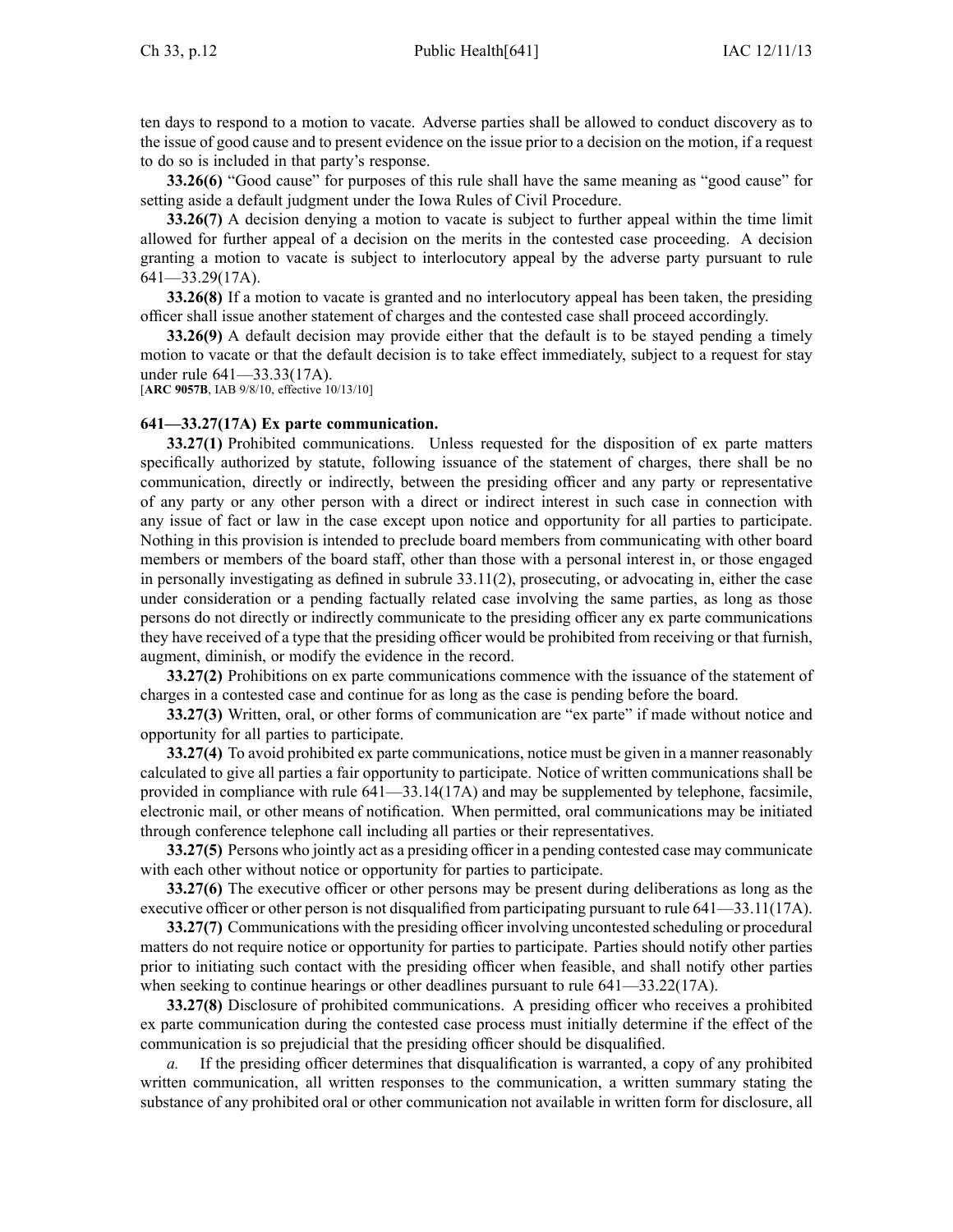ten days to respond to <sup>a</sup> motion to vacate. Adverse parties shall be allowed to conduct discovery as to the issue of good cause and to presen<sup>t</sup> evidence on the issue prior to <sup>a</sup> decision on the motion, if <sup>a</sup> reques<sup>t</sup> to do so is included in that party's response.

**33.26(6)** "Good cause" for purposes of this rule shall have the same meaning as "good cause" for setting aside <sup>a</sup> default judgment under the Iowa Rules of Civil Procedure.

**33.26(7)** A decision denying <sup>a</sup> motion to vacate is subject to further appeal within the time limit allowed for further appeal of <sup>a</sup> decision on the merits in the contested case proceeding. A decision granting <sup>a</sup> motion to vacate is subject to interlocutory appeal by the adverse party pursuan<sup>t</sup> to rule 641—33.29(17A).

**33.26(8)** If <sup>a</sup> motion to vacate is granted and no interlocutory appeal has been taken, the presiding officer shall issue another statement of charges and the contested case shall proceed accordingly.

**33.26(9)** A default decision may provide either that the default is to be stayed pending <sup>a</sup> timely motion to vacate or that the default decision is to take effect immediately, subject to <sup>a</sup> reques<sup>t</sup> for stay under rule 641—33.33(17A).

[**ARC 9057B**, IAB 9/8/10, effective 10/13/10]

#### **641—33.27(17A) Ex parte communication.**

**33.27(1)** Prohibited communications. Unless requested for the disposition of ex parte matters specifically authorized by statute, following issuance of the statement of charges, there shall be no communication, directly or indirectly, between the presiding officer and any party or representative of any party or any other person with <sup>a</sup> direct or indirect interest in such case in connection with any issue of fact or law in the case excep<sup>t</sup> upon notice and opportunity for all parties to participate. Nothing in this provision is intended to preclude board members from communicating with other board members or members of the board staff, other than those with <sup>a</sup> personal interest in, or those engaged in personally investigating as defined in subrule 33.11(2), prosecuting, or advocating in, either the case under consideration or <sup>a</sup> pending factually related case involving the same parties, as long as those persons do not directly or indirectly communicate to the presiding officer any ex parte communications they have received of <sup>a</sup> type that the presiding officer would be prohibited from receiving or that furnish, augment, diminish, or modify the evidence in the record.

**33.27(2)** Prohibitions on ex parte communications commence with the issuance of the statement of charges in <sup>a</sup> contested case and continue for as long as the case is pending before the board.

**33.27(3)** Written, oral, or other forms of communication are "ex parte" if made without notice and opportunity for all parties to participate.

**33.27(4)** To avoid prohibited ex parte communications, notice must be given in <sup>a</sup> manner reasonably calculated to give all parties <sup>a</sup> fair opportunity to participate. Notice of written communications shall be provided in compliance with rule 641—33.14(17A) and may be supplemented by telephone, facsimile, electronic mail, or other means of notification. When permitted, oral communications may be initiated through conference telephone call including all parties or their representatives.

**33.27(5)** Persons who jointly act as <sup>a</sup> presiding officer in <sup>a</sup> pending contested case may communicate with each other without notice or opportunity for parties to participate.

**33.27(6)** The executive officer or other persons may be presen<sup>t</sup> during deliberations as long as the executive officer or other person is not disqualified from participating pursuant to rule 641—33.11(17A).

**33.27(7)** Communications with the presiding officer involving uncontested scheduling or procedural matters do not require notice or opportunity for parties to participate. Parties should notify other parties prior to initiating such contact with the presiding officer when feasible, and shall notify other parties when seeking to continue hearings or other deadlines pursuant to rule  $641-33.22(17A)$ .

**33.27(8)** Disclosure of prohibited communications. A presiding officer who receives <sup>a</sup> prohibited ex parte communication during the contested case process must initially determine if the effect of the communication is so prejudicial that the presiding officer should be disqualified.

If the presiding officer determines that disqualification is warranted, a copy of any prohibited written communication, all written responses to the communication, <sup>a</sup> written summary stating the substance of any prohibited oral or other communication not available in written form for disclosure, all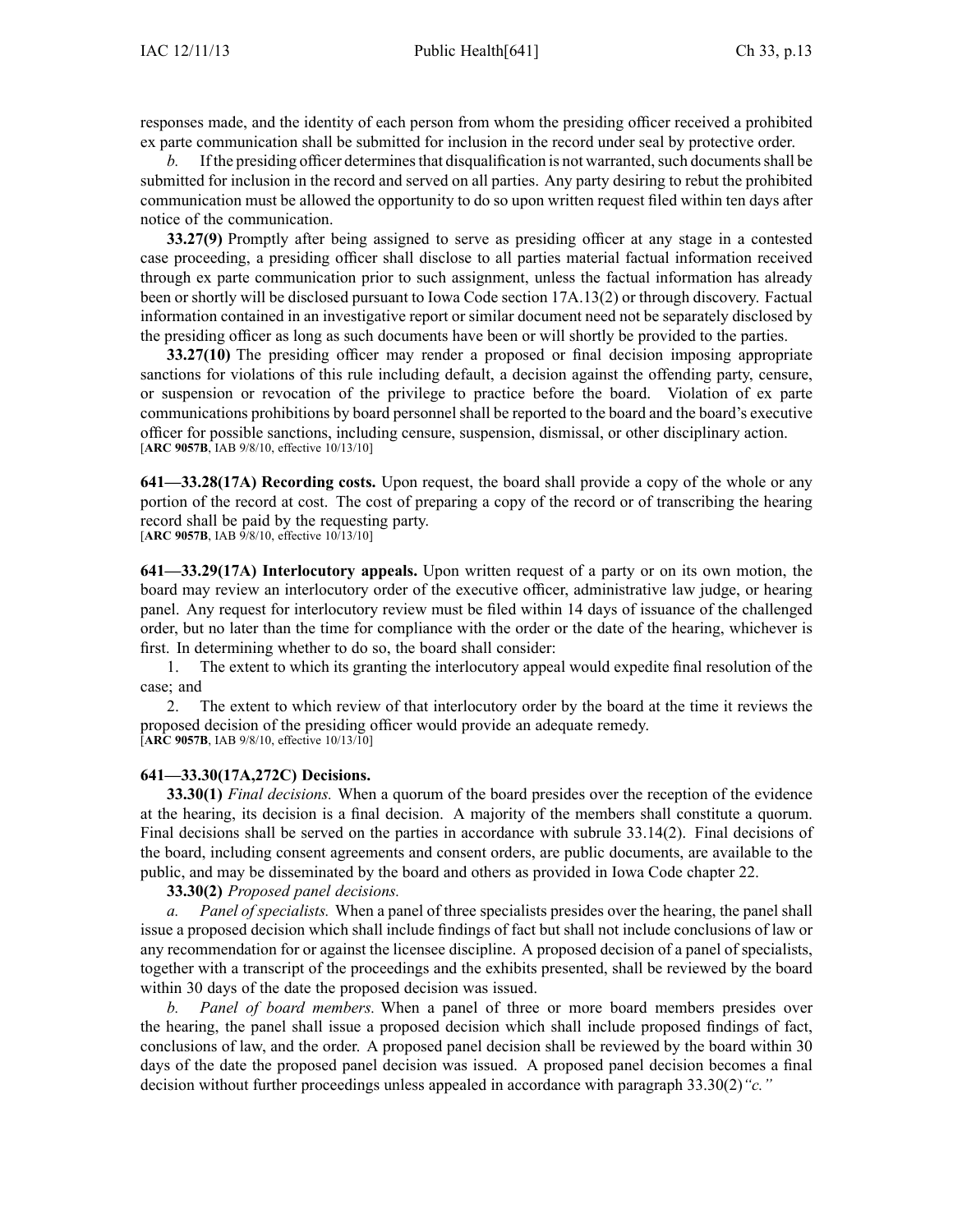responses made, and the identity of each person from whom the presiding officer received <sup>a</sup> prohibited ex parte communication shall be submitted for inclusion in the record under seal by protective order.

If the presiding officer determines that disqualification is not warranted, such documents shall be submitted for inclusion in the record and served on all parties. Any party desiring to rebut the prohibited communication must be allowed the opportunity to do so upon written reques<sup>t</sup> filed within ten days after notice of the communication.

**33.27(9)** Promptly after being assigned to serve as presiding officer at any stage in <sup>a</sup> contested case proceeding, <sup>a</sup> presiding officer shall disclose to all parties material factual information received through ex parte communication prior to such assignment, unless the factual information has already been or shortly will be disclosed pursuan<sup>t</sup> to Iowa Code section 17A.13(2) or through discovery. Factual information contained in an investigative repor<sup>t</sup> or similar document need not be separately disclosed by the presiding officer as long as such documents have been or will shortly be provided to the parties.

**33.27(10)** The presiding officer may render <sup>a</sup> proposed or final decision imposing appropriate sanctions for violations of this rule including default, <sup>a</sup> decision against the offending party, censure, or suspension or revocation of the privilege to practice before the board. Violation of ex parte communications prohibitions by board personnel shall be reported to the board and the board's executive officer for possible sanctions, including censure, suspension, dismissal, or other disciplinary action. [**ARC 9057B**, IAB 9/8/10, effective 10/13/10]

**641—33.28(17A) Recording costs.** Upon request, the board shall provide <sup>a</sup> copy of the whole or any portion of the record at cost. The cost of preparing <sup>a</sup> copy of the record or of transcribing the hearing record shall be paid by the requesting party. [**ARC 9057B**, IAB 9/8/10, effective 10/13/10]

**641—33.29(17A) Interlocutory appeals.** Upon written reques<sup>t</sup> of <sup>a</sup> party or on its own motion, the board may review an interlocutory order of the executive officer, administrative law judge, or hearing panel. Any reques<sup>t</sup> for interlocutory review must be filed within 14 days of issuance of the challenged order, but no later than the time for compliance with the order or the date of the hearing, whichever is first. In determining whether to do so, the board shall consider:

1. The extent to which its granting the interlocutory appeal would expedite final resolution of the case; and

2. The extent to which review of that interlocutory order by the board at the time it reviews the proposed decision of the presiding officer would provide an adequate remedy. [**ARC 9057B**, IAB 9/8/10, effective 10/13/10]

### **641—33.30(17A,272C) Decisions.**

**33.30(1)** *Final decisions.* When <sup>a</sup> quorum of the board presides over the reception of the evidence at the hearing, its decision is <sup>a</sup> final decision. A majority of the members shall constitute <sup>a</sup> quorum. Final decisions shall be served on the parties in accordance with subrule 33.14(2). Final decisions of the board, including consent agreements and consent orders, are public documents, are available to the public, and may be disseminated by the board and others as provided in Iowa Code chapter 22.

**33.30(2)** *Proposed panel decisions.*

*a. Panel of specialists.* When <sup>a</sup> panel of three specialists presides over the hearing, the panel shall issue <sup>a</sup> proposed decision which shall include findings of fact but shall not include conclusions of law or any recommendation for or against the licensee discipline. A proposed decision of <sup>a</sup> panel of specialists, together with <sup>a</sup> transcript of the proceedings and the exhibits presented, shall be reviewed by the board within 30 days of the date the proposed decision was issued.

*b. Panel of board members.* When <sup>a</sup> panel of three or more board members presides over the hearing, the panel shall issue <sup>a</sup> proposed decision which shall include proposed findings of fact, conclusions of law, and the order. A proposed panel decision shall be reviewed by the board within 30 days of the date the proposed panel decision was issued. A proposed panel decision becomes <sup>a</sup> final decision without further proceedings unless appealed in accordance with paragraph 33.30(2)*"c."*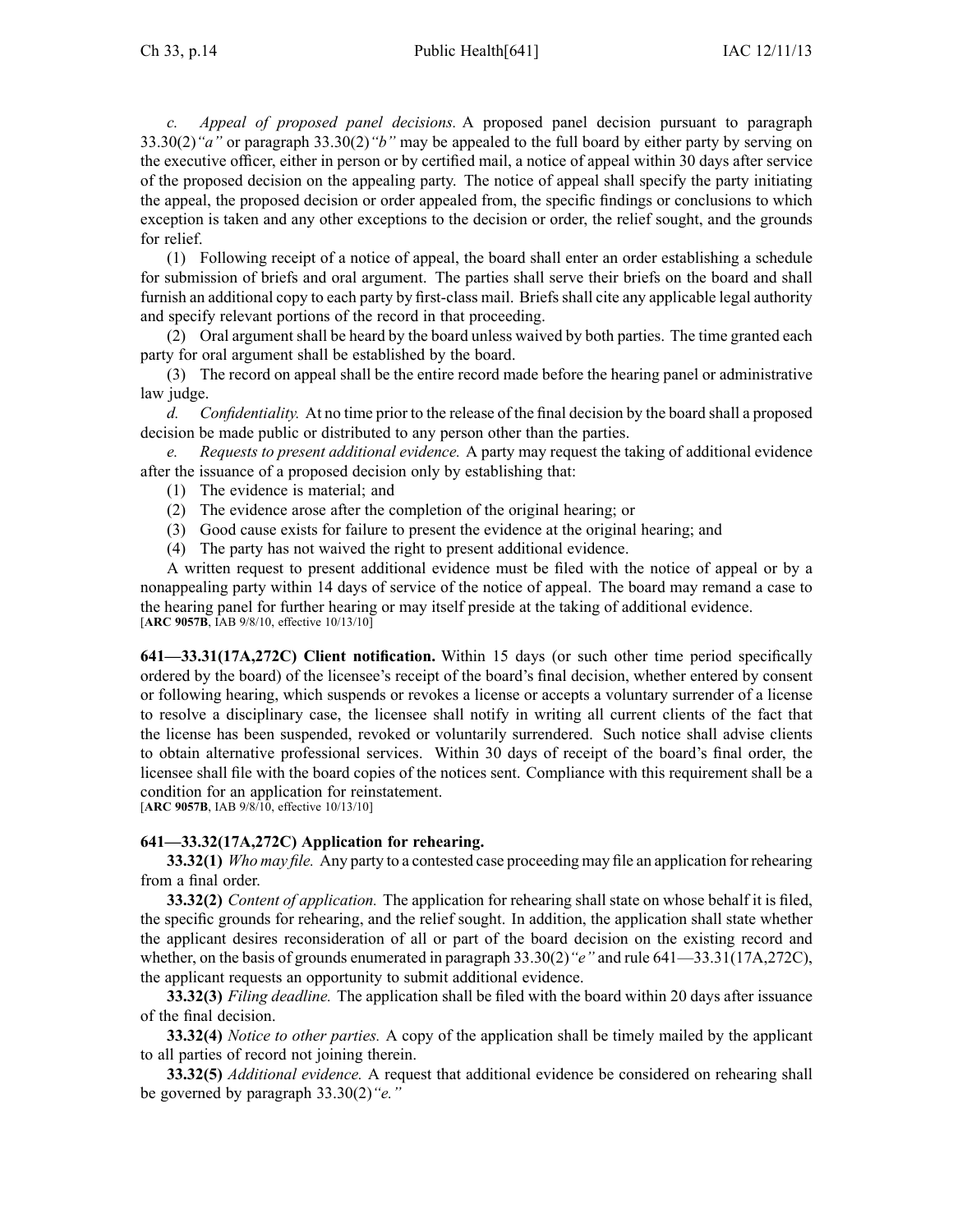*c. Appeal of proposed panel decisions.* A proposed panel decision pursuan<sup>t</sup> to paragraph 33.30(2)*"a"* or paragraph 33.30(2)*"b"* may be appealed to the full board by either party by serving on the executive officer, either in person or by certified mail, <sup>a</sup> notice of appeal within 30 days after service of the proposed decision on the appealing party. The notice of appeal shall specify the party initiating the appeal, the proposed decision or order appealed from, the specific findings or conclusions to which exception is taken and any other exceptions to the decision or order, the relief sought, and the grounds for relief.

(1) Following receipt of <sup>a</sup> notice of appeal, the board shall enter an order establishing <sup>a</sup> schedule for submission of briefs and oral argument. The parties shall serve their briefs on the board and shall furnish an additional copy to each party by first-class mail. Briefs shall cite any applicable legal authority and specify relevant portions of the record in that proceeding.

(2) Oral argumen<sup>t</sup> shall be heard by the board unless waived by both parties. The time granted each party for oral argumen<sup>t</sup> shall be established by the board.

(3) The record on appeal shall be the entire record made before the hearing panel or administrative law judge.

*d. Confidentiality.* At no time prior to the release of the final decision by the board shall <sup>a</sup> proposed decision be made public or distributed to any person other than the parties.

*e. Requests to presen<sup>t</sup> additional evidence.* A party may reques<sup>t</sup> the taking of additional evidence after the issuance of <sup>a</sup> proposed decision only by establishing that:

- (1) The evidence is material; and
- (2) The evidence arose after the completion of the original hearing; or
- (3) Good cause exists for failure to presen<sup>t</sup> the evidence at the original hearing; and
- (4) The party has not waived the right to presen<sup>t</sup> additional evidence.

A written reques<sup>t</sup> to presen<sup>t</sup> additional evidence must be filed with the notice of appeal or by <sup>a</sup> nonappealing party within 14 days of service of the notice of appeal. The board may remand <sup>a</sup> case to the hearing panel for further hearing or may itself preside at the taking of additional evidence. [**ARC 9057B**, IAB 9/8/10, effective 10/13/10]

**641—33.31(17A,272C) Client notification.** Within 15 days (or such other time period specifically ordered by the board) of the licensee's receipt of the board's final decision, whether entered by consent or following hearing, which suspends or revokes <sup>a</sup> license or accepts <sup>a</sup> voluntary surrender of <sup>a</sup> license to resolve <sup>a</sup> disciplinary case, the licensee shall notify in writing all current clients of the fact that the license has been suspended, revoked or voluntarily surrendered. Such notice shall advise clients to obtain alternative professional services. Within 30 days of receipt of the board's final order, the licensee shall file with the board copies of the notices sent. Compliance with this requirement shall be <sup>a</sup> condition for an application for reinstatement. [**ARC 9057B**, IAB 9/8/10, effective 10/13/10]

**641—33.32(17A,272C) Application for rehearing.**

**33.32(1)** *Who may file.* Any party to <sup>a</sup> contested case proceeding may file an application for rehearing from <sup>a</sup> final order.

**33.32(2)** *Content of application.* The application for rehearing shall state on whose behalf it is filed, the specific grounds for rehearing, and the relief sought. In addition, the application shall state whether the applicant desires reconsideration of all or par<sup>t</sup> of the board decision on the existing record and whether, on the basis of grounds enumerated in paragraph 33.30(2)*"e"* and rule 641—33.31(17A,272C), the applicant requests an opportunity to submit additional evidence.

**33.32(3)** *Filing deadline.* The application shall be filed with the board within 20 days after issuance of the final decision.

**33.32(4)** *Notice to other parties.* A copy of the application shall be timely mailed by the applicant to all parties of record not joining therein.

**33.32(5)** *Additional evidence.* A reques<sup>t</sup> that additional evidence be considered on rehearing shall be governed by paragraph 33.30(2)*"e."*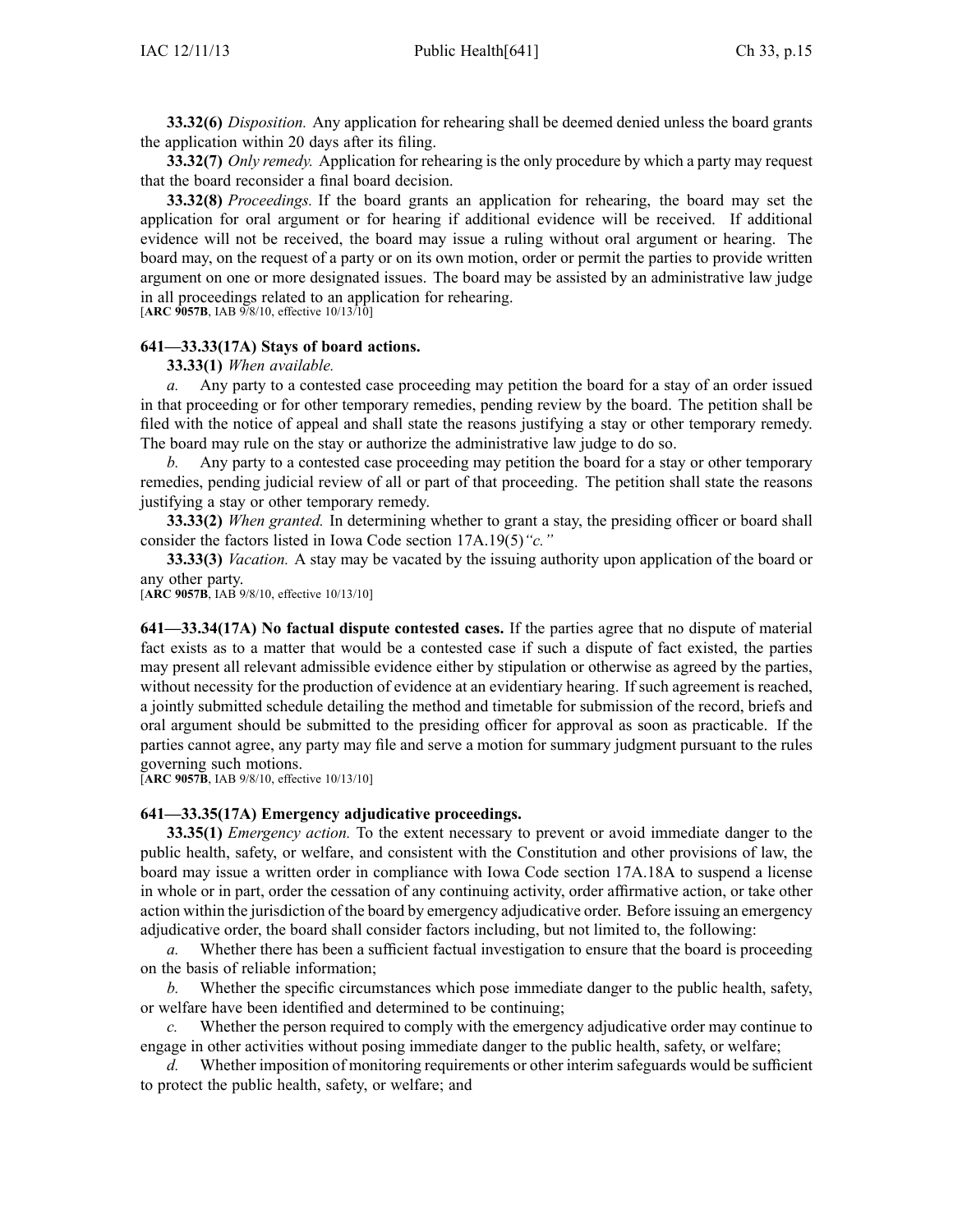**33.32(6)** *Disposition.* Any application for rehearing shall be deemed denied unless the board grants the application within 20 days after its filing.

**33.32(7)** *Only remedy.* Application for rehearing is the only procedure by which <sup>a</sup> party may reques<sup>t</sup> that the board reconsider <sup>a</sup> final board decision.

**33.32(8)** *Proceedings.* If the board grants an application for rehearing, the board may set the application for oral argumen<sup>t</sup> or for hearing if additional evidence will be received. If additional evidence will not be received, the board may issue <sup>a</sup> ruling without oral argumen<sup>t</sup> or hearing. The board may, on the reques<sup>t</sup> of <sup>a</sup> party or on its own motion, order or permit the parties to provide written argumen<sup>t</sup> on one or more designated issues. The board may be assisted by an administrative law judge in all proceedings related to an application for rehearing.

[**ARC 9057B**, IAB 9/8/10, effective 10/13/10]

#### **641—33.33(17A) Stays of board actions.**

**33.33(1)** *When available.*

*a.* Any party to <sup>a</sup> contested case proceeding may petition the board for <sup>a</sup> stay of an order issued in that proceeding or for other temporary remedies, pending review by the board. The petition shall be filed with the notice of appeal and shall state the reasons justifying <sup>a</sup> stay or other temporary remedy. The board may rule on the stay or authorize the administrative law judge to do so.

*b.* Any party to <sup>a</sup> contested case proceeding may petition the board for <sup>a</sup> stay or other temporary remedies, pending judicial review of all or par<sup>t</sup> of that proceeding. The petition shall state the reasons justifying <sup>a</sup> stay or other temporary remedy.

**33.33(2)** *When granted.* In determining whether to gran<sup>t</sup> <sup>a</sup> stay, the presiding officer or board shall consider the factors listed in Iowa Code section 17A.19(5)*"c."*

**33.33(3)** *Vacation.* A stay may be vacated by the issuing authority upon application of the board or any other party.

[**ARC 9057B**, IAB 9/8/10, effective 10/13/10]

**641—33.34(17A) No factual dispute contested cases.** If the parties agree that no dispute of material fact exists as to <sup>a</sup> matter that would be <sup>a</sup> contested case if such <sup>a</sup> dispute of fact existed, the parties may presen<sup>t</sup> all relevant admissible evidence either by stipulation or otherwise as agreed by the parties, without necessity for the production of evidence at an evidentiary hearing. If such agreemen<sup>t</sup> is reached, <sup>a</sup> jointly submitted schedule detailing the method and timetable for submission of the record, briefs and oral argumen<sup>t</sup> should be submitted to the presiding officer for approval as soon as practicable. If the parties cannot agree, any party may file and serve <sup>a</sup> motion for summary judgment pursuan<sup>t</sup> to the rules governing such motions.

[**ARC 9057B**, IAB 9/8/10, effective 10/13/10]

## **641—33.35(17A) Emergency adjudicative proceedings.**

**33.35(1)** *Emergency action.* To the extent necessary to preven<sup>t</sup> or avoid immediate danger to the public health, safety, or welfare, and consistent with the Constitution and other provisions of law, the board may issue <sup>a</sup> written order in compliance with Iowa Code section 17A.18A to suspend <sup>a</sup> license in whole or in part, order the cessation of any continuing activity, order affirmative action, or take other action within the jurisdiction of the board by emergency adjudicative order. Before issuing an emergency adjudicative order, the board shall consider factors including, but not limited to, the following:

*a.* Whether there has been <sup>a</sup> sufficient factual investigation to ensure that the board is proceeding on the basis of reliable information;

*b.* Whether the specific circumstances which pose immediate danger to the public health, safety, or welfare have been identified and determined to be continuing;

*c.* Whether the person required to comply with the emergency adjudicative order may continue to engage in other activities without posing immediate danger to the public health, safety, or welfare;

*d.* Whether imposition of monitoring requirements or other interim safeguards would be sufficient to protect the public health, safety, or welfare; and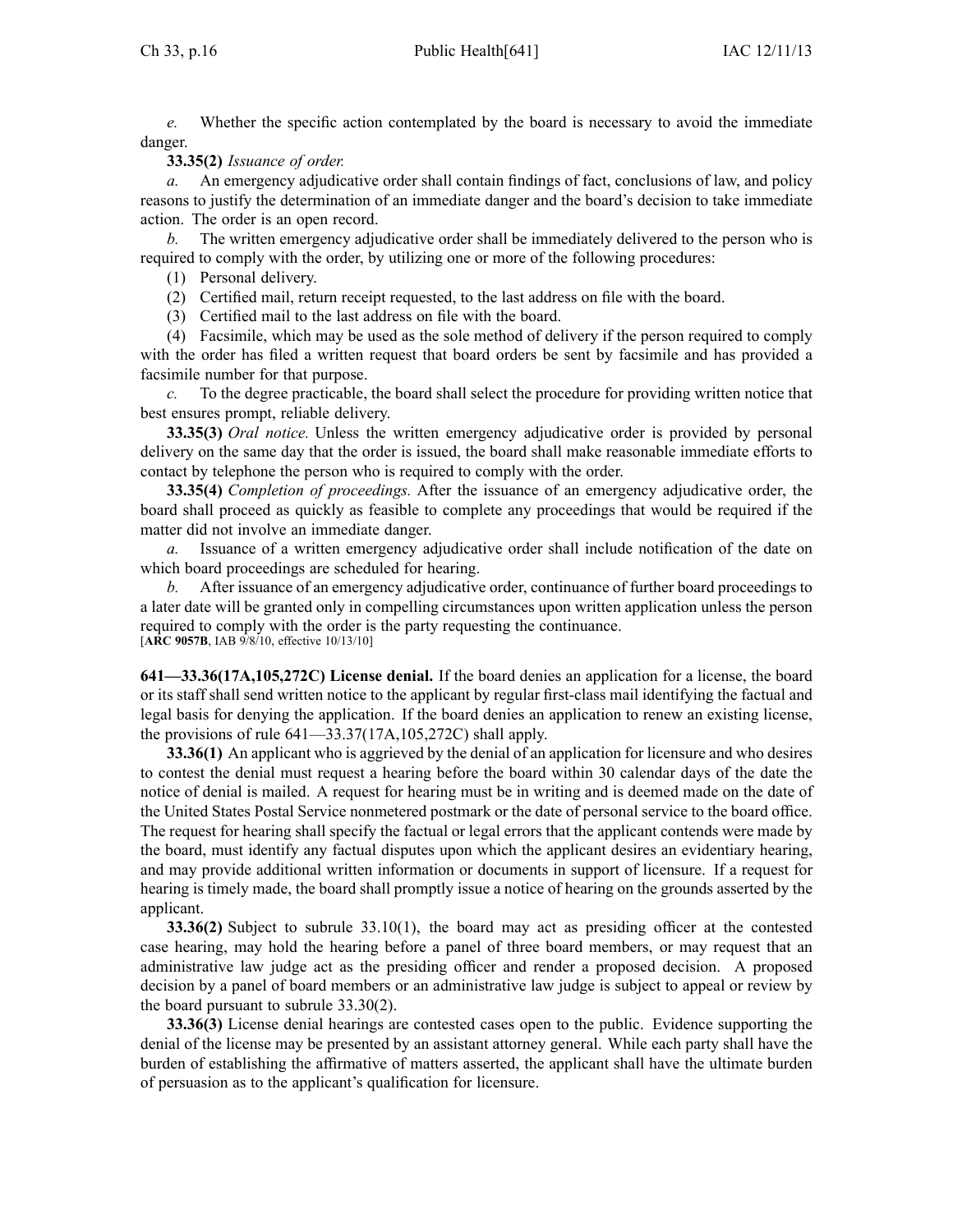*e.* Whether the specific action contemplated by the board is necessary to avoid the immediate danger.

# **33.35(2)** *Issuance of order.*

*a.* An emergency adjudicative order shall contain findings of fact, conclusions of law, and policy reasons to justify the determination of an immediate danger and the board's decision to take immediate action. The order is an open record.

*b.* The written emergency adjudicative order shall be immediately delivered to the person who is required to comply with the order, by utilizing one or more of the following procedures:

(1) Personal delivery.

(2) Certified mail, return receipt requested, to the last address on file with the board.

(3) Certified mail to the last address on file with the board.

(4) Facsimile, which may be used as the sole method of delivery if the person required to comply with the order has filed <sup>a</sup> written reques<sup>t</sup> that board orders be sent by facsimile and has provided <sup>a</sup> facsimile number for that purpose.

*c.* To the degree practicable, the board shall select the procedure for providing written notice that best ensures prompt, reliable delivery.

**33.35(3)** *Oral notice.* Unless the written emergency adjudicative order is provided by personal delivery on the same day that the order is issued, the board shall make reasonable immediate efforts to contact by telephone the person who is required to comply with the order.

**33.35(4)** *Completion of proceedings.* After the issuance of an emergency adjudicative order, the board shall proceed as quickly as feasible to complete any proceedings that would be required if the matter did not involve an immediate danger.

*a.* Issuance of <sup>a</sup> written emergency adjudicative order shall include notification of the date on which board proceedings are scheduled for hearing.

*b.* After issuance of an emergency adjudicative order, continuance of further board proceedings to <sup>a</sup> later date will be granted only in compelling circumstances upon written application unless the person required to comply with the order is the party requesting the continuance. [**ARC 9057B**, IAB 9/8/10, effective 10/13/10]

**641—33.36(17A,105,272C) License denial.** If the board denies an application for <sup>a</sup> license, the board or its staff shall send written notice to the applicant by regular first-class mail identifying the factual and legal basis for denying the application. If the board denies an application to renew an existing license, the provisions of rule 641—33.37(17A,105,272C) shall apply.

**33.36(1)** An applicant who is aggrieved by the denial of an application for licensure and who desires to contest the denial must reques<sup>t</sup> <sup>a</sup> hearing before the board within 30 calendar days of the date the notice of denial is mailed. A reques<sup>t</sup> for hearing must be in writing and is deemed made on the date of the United States Postal Service nonmetered postmark or the date of personal service to the board office. The reques<sup>t</sup> for hearing shall specify the factual or legal errors that the applicant contends were made by the board, must identify any factual disputes upon which the applicant desires an evidentiary hearing, and may provide additional written information or documents in suppor<sup>t</sup> of licensure. If <sup>a</sup> reques<sup>t</sup> for hearing is timely made, the board shall promptly issue <sup>a</sup> notice of hearing on the grounds asserted by the applicant.

**33.36(2)** Subject to subrule 33.10(1), the board may act as presiding officer at the contested case hearing, may hold the hearing before <sup>a</sup> panel of three board members, or may reques<sup>t</sup> that an administrative law judge act as the presiding officer and render <sup>a</sup> proposed decision. A proposed decision by <sup>a</sup> panel of board members or an administrative law judge is subject to appeal or review by the board pursuan<sup>t</sup> to subrule 33.30(2).

**33.36(3)** License denial hearings are contested cases open to the public. Evidence supporting the denial of the license may be presented by an assistant attorney general. While each party shall have the burden of establishing the affirmative of matters asserted, the applicant shall have the ultimate burden of persuasion as to the applicant's qualification for licensure.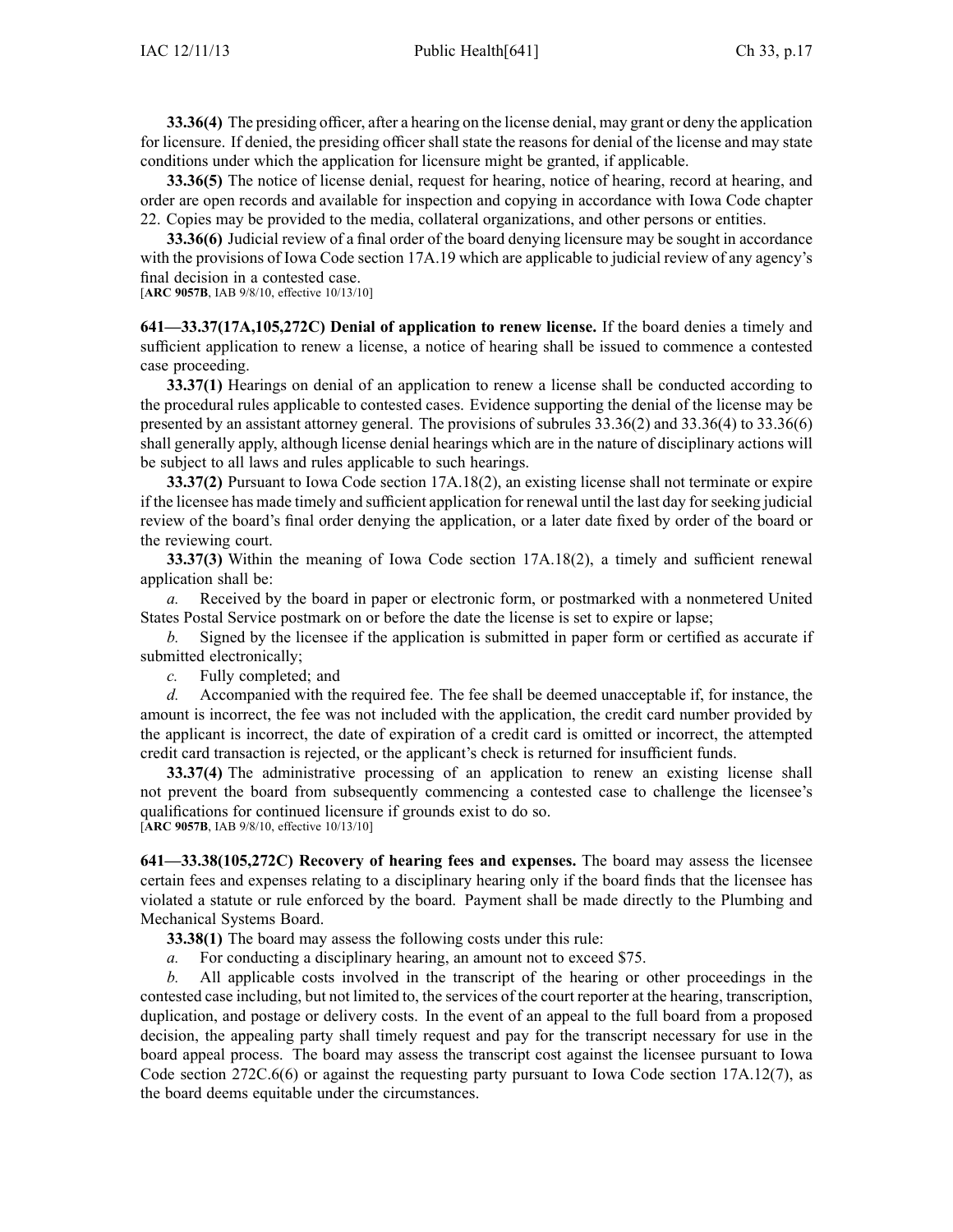**33.36(4)** The presiding officer, after <sup>a</sup> hearing on the license denial, may gran<sup>t</sup> or deny the application for licensure. If denied, the presiding officer shall state the reasons for denial of the license and may state conditions under which the application for licensure might be granted, if applicable.

**33.36(5)** The notice of license denial, reques<sup>t</sup> for hearing, notice of hearing, record at hearing, and order are open records and available for inspection and copying in accordance with Iowa Code chapter 22. Copies may be provided to the media, collateral organizations, and other persons or entities.

**33.36(6)** Judicial review of <sup>a</sup> final order of the board denying licensure may be sought in accordance with the provisions of Iowa Code section 17A.19 which are applicable to judicial review of any agency's final decision in <sup>a</sup> contested case.

[**ARC 9057B**, IAB 9/8/10, effective 10/13/10]

**641—33.37(17A,105,272C) Denial of application to renew license.** If the board denies <sup>a</sup> timely and sufficient application to renew <sup>a</sup> license, <sup>a</sup> notice of hearing shall be issued to commence <sup>a</sup> contested case proceeding.

**33.37(1)** Hearings on denial of an application to renew <sup>a</sup> license shall be conducted according to the procedural rules applicable to contested cases. Evidence supporting the denial of the license may be presented by an assistant attorney general. The provisions of subrules 33.36(2) and 33.36(4) to 33.36(6) shall generally apply, although license denial hearings which are in the nature of disciplinary actions will be subject to all laws and rules applicable to such hearings.

**33.37(2)** Pursuant to Iowa Code section 17A.18(2), an existing license shall not terminate or expire if the licensee has made timely and sufficient application for renewal until the last day forseeking judicial review of the board's final order denying the application, or <sup>a</sup> later date fixed by order of the board or the reviewing court.

**33.37(3)** Within the meaning of Iowa Code section 17A.18(2), <sup>a</sup> timely and sufficient renewal application shall be:

*a.* Received by the board in paper or electronic form, or postmarked with <sup>a</sup> nonmetered United States Postal Service postmark on or before the date the license is set to expire or lapse;

*b.* Signed by the licensee if the application is submitted in paper form or certified as accurate if submitted electronically;

*c.* Fully completed; and

*d.* Accompanied with the required fee. The fee shall be deemed unacceptable if, for instance, the amount is incorrect, the fee was not included with the application, the credit card number provided by the applicant is incorrect, the date of expiration of <sup>a</sup> credit card is omitted or incorrect, the attempted credit card transaction is rejected, or the applicant's check is returned for insufficient funds.

**33.37(4)** The administrative processing of an application to renew an existing license shall not preven<sup>t</sup> the board from subsequently commencing <sup>a</sup> contested case to challenge the licensee's qualifications for continued licensure if grounds exist to do so. [**ARC 9057B**, IAB 9/8/10, effective 10/13/10]

**641—33.38(105,272C) Recovery of hearing fees and expenses.** The board may assess the licensee certain fees and expenses relating to <sup>a</sup> disciplinary hearing only if the board finds that the licensee has violated <sup>a</sup> statute or rule enforced by the board. Payment shall be made directly to the Plumbing and Mechanical Systems Board.

**33.38(1)** The board may assess the following costs under this rule:

*a.* For conducting <sup>a</sup> disciplinary hearing, an amount not to exceed \$75.

*b.* All applicable costs involved in the transcript of the hearing or other proceedings in the contested case including, but not limited to, the services of the court reporter at the hearing, transcription, duplication, and postage or delivery costs. In the event of an appeal to the full board from <sup>a</sup> proposed decision, the appealing party shall timely reques<sup>t</sup> and pay for the transcript necessary for use in the board appeal process. The board may assess the transcript cost against the licensee pursuan<sup>t</sup> to Iowa Code section  $272C.6(6)$  or against the requesting party pursuant to Iowa Code section  $17A.12(7)$ , as the board deems equitable under the circumstances.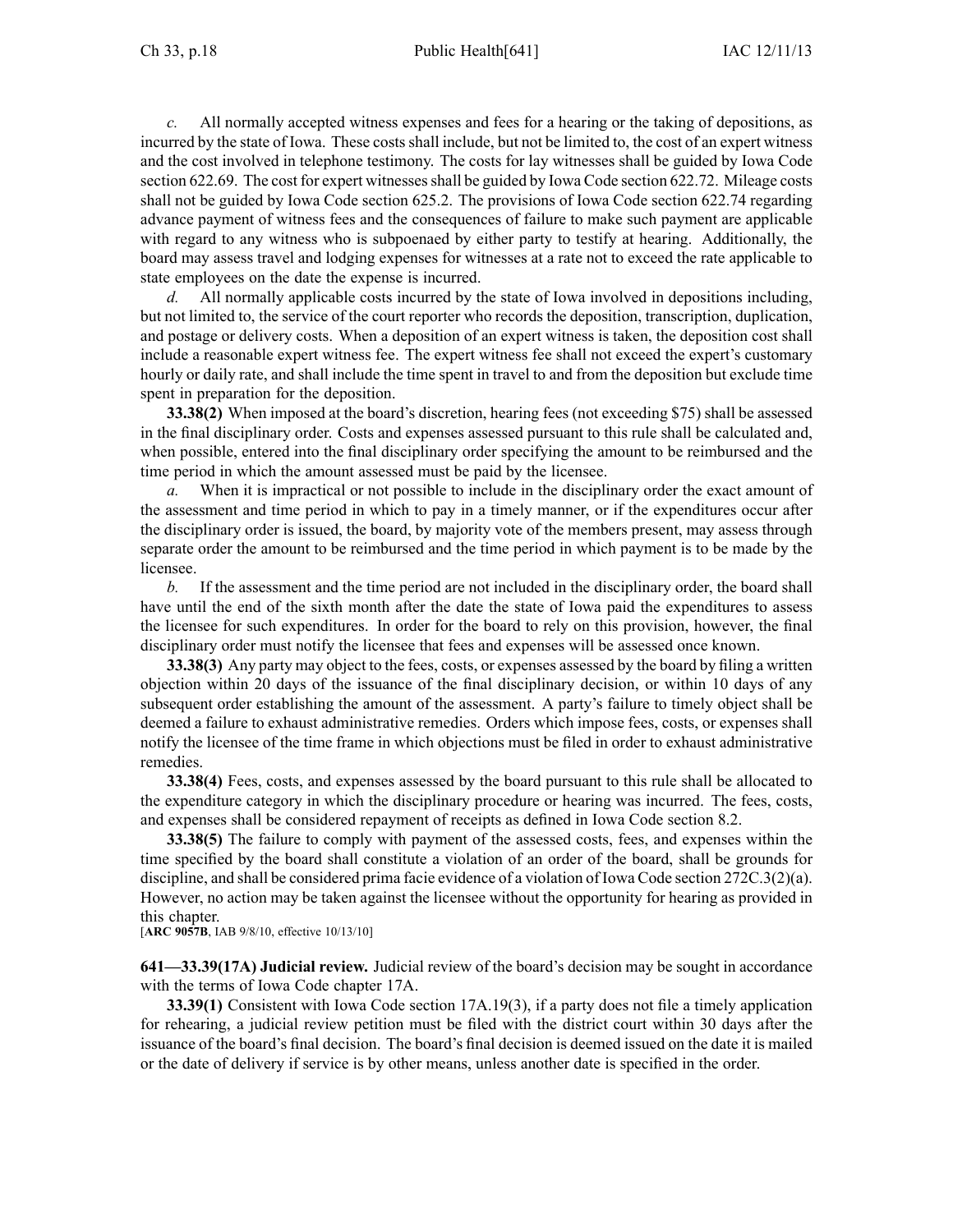*c.* All normally accepted witness expenses and fees for <sup>a</sup> hearing or the taking of depositions, as incurred by the state of Iowa. These costsshall include, but not be limited to, the cost of an exper<sup>t</sup> witness and the cost involved in telephone testimony. The costs for lay witnesses shall be guided by Iowa Code section 622.69. The cost for exper<sup>t</sup> witnessesshall be guided by Iowa Code section 622.72. Mileage costs shall not be guided by Iowa Code section 625.2. The provisions of Iowa Code section 622.74 regarding advance paymen<sup>t</sup> of witness fees and the consequences of failure to make such paymen<sup>t</sup> are applicable with regard to any witness who is subpoenaed by either party to testify at hearing. Additionally, the board may assess travel and lodging expenses for witnesses at <sup>a</sup> rate not to exceed the rate applicable to state employees on the date the expense is incurred.

*d.* All normally applicable costs incurred by the state of Iowa involved in depositions including, but not limited to, the service of the court reporter who records the deposition, transcription, duplication, and postage or delivery costs. When <sup>a</sup> deposition of an exper<sup>t</sup> witness is taken, the deposition cost shall include <sup>a</sup> reasonable exper<sup>t</sup> witness fee. The exper<sup>t</sup> witness fee shall not exceed the expert's customary hourly or daily rate, and shall include the time spen<sup>t</sup> in travel to and from the deposition but exclude time spen<sup>t</sup> in preparation for the deposition.

**33.38(2)** When imposed at the board's discretion, hearing fees (not exceeding \$75) shall be assessed in the final disciplinary order. Costs and expenses assessed pursuan<sup>t</sup> to this rule shall be calculated and, when possible, entered into the final disciplinary order specifying the amount to be reimbursed and the time period in which the amount assessed must be paid by the licensee.

*a.* When it is impractical or not possible to include in the disciplinary order the exact amount of the assessment and time period in which to pay in <sup>a</sup> timely manner, or if the expenditures occur after the disciplinary order is issued, the board, by majority vote of the members present, may assess through separate order the amount to be reimbursed and the time period in which paymen<sup>t</sup> is to be made by the licensee.

*b.* If the assessment and the time period are not included in the disciplinary order, the board shall have until the end of the sixth month after the date the state of Iowa paid the expenditures to assess the licensee for such expenditures. In order for the board to rely on this provision, however, the final disciplinary order must notify the licensee that fees and expenses will be assessed once known.

**33.38(3)** Any party may object to the fees, costs, or expenses assessed by the board by filing <sup>a</sup> written objection within 20 days of the issuance of the final disciplinary decision, or within 10 days of any subsequent order establishing the amount of the assessment. A party's failure to timely object shall be deemed <sup>a</sup> failure to exhaust administrative remedies. Orders which impose fees, costs, or expenses shall notify the licensee of the time frame in which objections must be filed in order to exhaust administrative remedies.

**33.38(4)** Fees, costs, and expenses assessed by the board pursuan<sup>t</sup> to this rule shall be allocated to the expenditure category in which the disciplinary procedure or hearing was incurred. The fees, costs, and expenses shall be considered repaymen<sup>t</sup> of receipts as defined in Iowa Code section 8.2.

**33.38(5)** The failure to comply with paymen<sup>t</sup> of the assessed costs, fees, and expenses within the time specified by the board shall constitute <sup>a</sup> violation of an order of the board, shall be grounds for discipline, and shall be considered prima facie evidence of <sup>a</sup> violation of Iowa Code section 272C.3(2)(a). However, no action may be taken against the licensee without the opportunity for hearing as provided in this chapter.

[**ARC 9057B**, IAB 9/8/10, effective 10/13/10]

**641—33.39(17A) Judicial review.** Judicial review of the board's decision may be sought in accordance with the terms of Iowa Code chapter 17A.

**33.39(1)** Consistent with Iowa Code section 17A.19(3), if <sup>a</sup> party does not file <sup>a</sup> timely application for rehearing, <sup>a</sup> judicial review petition must be filed with the district court within 30 days after the issuance of the board's final decision. The board's final decision is deemed issued on the date it is mailed or the date of delivery if service is by other means, unless another date is specified in the order.